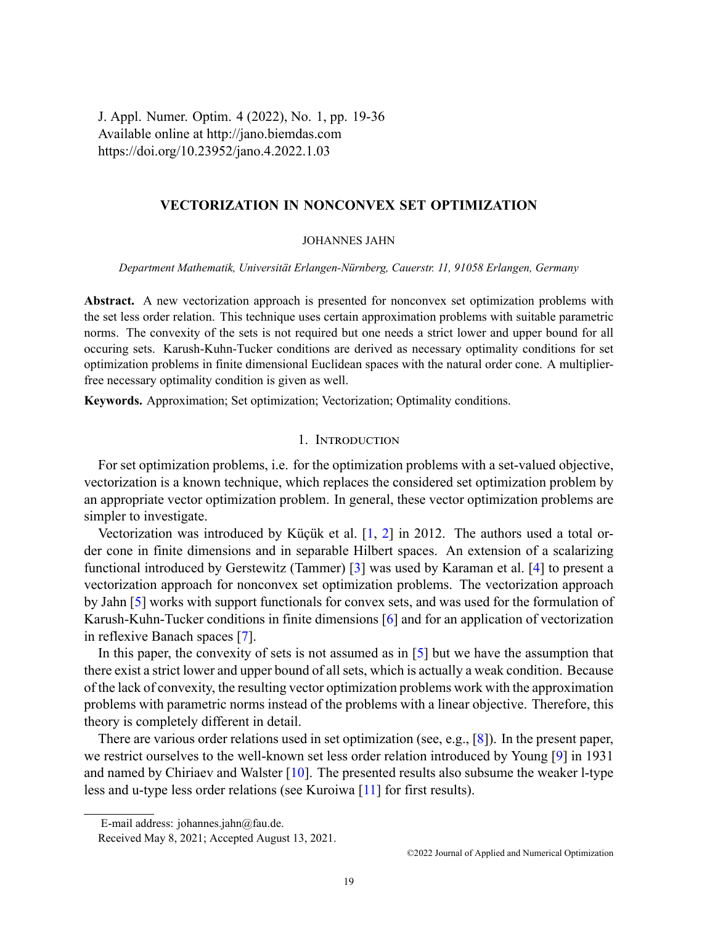J. Appl. Numer. Optim. 4 (2022), No. 1, pp. 19-36 Available online at http://jano.biemdas.com https://doi.org/10.23952/jano.4.2022.1.03

# **VECTORIZATION IN NONCONVEX SET OPTIMIZATION**

### JOHANNES JAHN

*Department Mathematik, Universität Erlangen-Nürnberg, Cauerstr. 11, 91058 Erlangen, Germany*

**Abstract.** A new vectorization approach is presented for nonconvex set optimization problems with the set less order relation. This technique uses certain approximation problems with suitable parametric norms. The convexity of the sets is not required but one needs a strict lower and upper bound for all occuring sets. Karush-Kuhn-Tucker conditions are derived as necessary optimality conditions for set optimization problems in finite dimensional Euclidean spaces with the natural order cone. A multiplierfree necessary optimality condition is given as well.

**Keywords.** Approximation; Set optimization; Vectorization; Optimality conditions.

### 1. INTRODUCTION

For set optimization problems, i.e. for the optimization problems with a set-valued objective, vectorization is a known technique, which replaces the considered set optimization problem by an appropriate vector optimization problem. In general, these vector optimization problems are simpler to investigate.

Vectorization was introduced by Küçük et al. [\[1](#page-16-0), [2](#page-16-1)] in 2012. The authors used a total order cone in finite dimensions and in separable Hilbert spaces. An extension of a scalarizing functional introduced by Gerstewitz (Tammer) [\[3](#page-16-2)] was used by Karaman et al.[[4\]](#page-16-3) to present a vectorization approach for nonconvex set optimization problems. The vectorization approach by Jahn [\[5](#page-16-4)] works with support functionals for convex sets, and was used for the formulation of Karush-Kuhn-Tucker conditions in finite dimensions [\[6](#page-16-5)] and for an application of vectorization in reflexive Banach spaces[[7\]](#page-17-0).

In this paper, the convexity of sets is not assumed as in [\[5](#page-16-4)] but we have the assumption that there exist a strict lower and upper bound of all sets, which is actually a weak condition. Because of the lack of convexity, the resulting vector optimization problems work with the approximation problems with parametric norms instead of the problems with a linear objective. Therefore, this theory is completely different in detail.

There are various order relations used in set optimization (see, e.g.,[[8\]](#page-17-1)). In the present paper, we restrict ourselves to the well-known set less order relation introduced by Young [\[9](#page-17-2)] in 1931 and named by Chiriaev and Walster[[10\]](#page-17-3). The presented results also subsume the weaker l-type less and u-type less order relations (see Kuroiwa [\[11\]](#page-17-4) for first results).

E-mail address: johannes.jahn@fau.de.

Received May 8, 2021; Accepted August 13, 2021.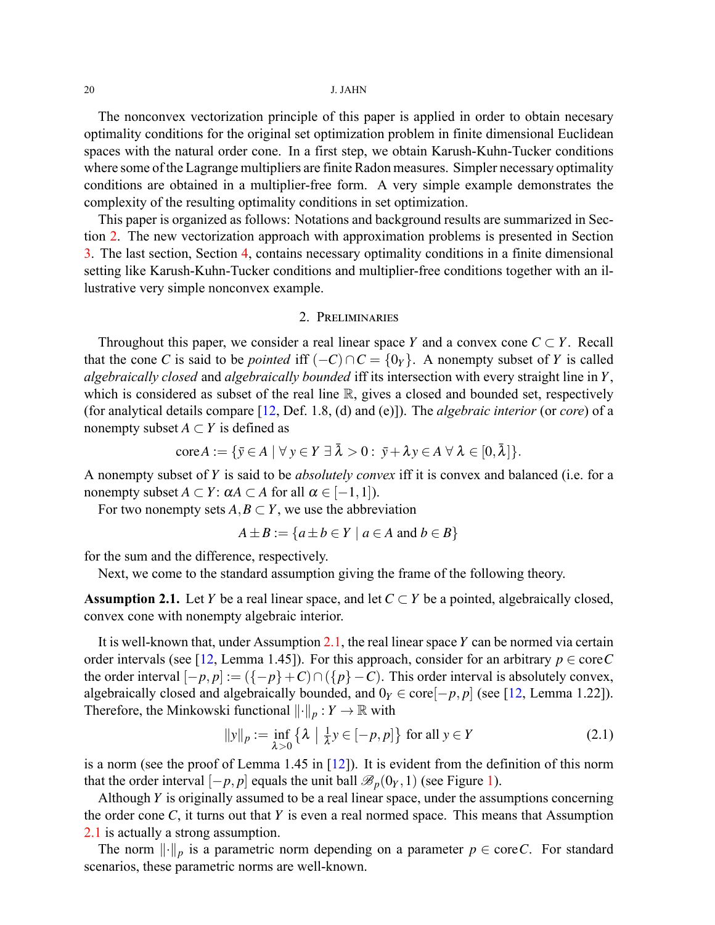The nonconvex vectorization principle of this paper is applied in order to obtain necesary optimality conditions for the original set optimization problem in finite dimensional Euclidean spaces with the natural order cone. In a first step, we obtain Karush-Kuhn-Tucker conditions where some of the Lagrange multipliers are finite Radon measures. Simpler necessary optimality conditions are obtained in a multiplier-free form. A very simple example demonstrates the complexity of the resulting optimality conditions in set optimization.

This paper is organized as follows: Notations and background results are summarized in Section [2](#page-1-0). The new vectorization approach with approximation problems is presented in Section [3.](#page-2-0) The last section, Section [4,](#page-8-0) contains necessary optimality conditions in a finite dimensional setting like Karush-Kuhn-Tucker conditions and multiplier-free conditions together with an illustrative very simple nonconvex example.

## 2. PRELIMINARIES

<span id="page-1-0"></span>Throughout this paper, we consider a real linear space *Y* and a convex cone  $C \subset Y$ . Recall that the cone *C* is said to be *pointed* iff  $(-C) \cap C = \{0\}$ . A nonempty subset of *Y* is called *algebraically closed* and *algebraically bounded* iff its intersection with every straight line in *Y*, which is considered as subset of the real line  $\mathbb{R}$ , gives a closed and bounded set, respectively (for analytical details compare[[12,](#page-17-5) Def. 1.8, (d) and (e)]). The *algebraic interior* (or *core*) of a nonempty subset  $A \subset Y$  is defined as

$$
\text{core} A := \{ \bar{y} \in A \mid \forall y \in Y \exists \bar{\lambda} > 0 : \bar{y} + \lambda y \in A \ \forall \ \lambda \in [0, \bar{\lambda}] \}.
$$

A nonempty subset of *Y* is said to be *absolutely convex* iff it is convex and balanced (i.e. for a nonempty subset  $A \subset Y$ :  $\alpha A \subset A$  for all  $\alpha \in [-1,1]$ ).

For two nonempty sets  $A, B \subset Y$ , we use the abbreviation

$$
A \pm B := \{ a \pm b \in Y \mid a \in A \text{ and } b \in B \}
$$

for the sum and the difference, respectively.

Next, we come to the standard assumption giving the frame of the following theory.

<span id="page-1-1"></span>**Assumption 2.1.** Let *Y* be a real linear space, and let  $C \subset Y$  be a pointed, algebraically closed, convex cone with nonempty algebraic interior.

It is well-known that, under Assumption [2.1](#page-1-1), the real linear space *Y* can be normed via certain order intervals (see [\[12](#page-17-5), Lemma 1.45]). For this approach, consider for an arbitrary  $p \in \text{core } C$ the order interval  $[-p, p] := (\{-p\} + C) \cap (\{p\} - C)$ . This order interval is absolutely convex, algebraically closed and algebraically bounded, and  $0<sub>Y</sub> ∈ core[-p, p]$  (see [\[12](#page-17-5), Lemma 1.22]). Therefore, the Minkowski functional  $\|\cdot\|_p : Y \to \mathbb{R}$  with

<span id="page-1-2"></span>
$$
||y||_p := \inf_{\lambda > 0} \left\{ \lambda \mid \frac{1}{\lambda} y \in [-p, p] \right\} \text{ for all } y \in Y
$$
 (2.1)

is a norm (see the proof of Lemma 1.45 in  $[12]$ ). It is evident from the definition of this norm that the order interval  $[-p, p]$  equals the unit ball  $\mathcal{B}_p(0_Y, 1)$  $\mathcal{B}_p(0_Y, 1)$  $\mathcal{B}_p(0_Y, 1)$  (see Figure 1).

Although *Y* is originally assumed to be a real linear space, under the assumptions concerning the order cone *C*, it turns out that *Y* is even a real normed space. This means that Assumption [2.1](#page-1-1) is actually a strong assumption.

The norm  $\lVert \cdot \rVert_p$  is a parametric norm depending on a parameter  $p \in \text{core } C$ . For standard scenarios, these parametric norms are well-known.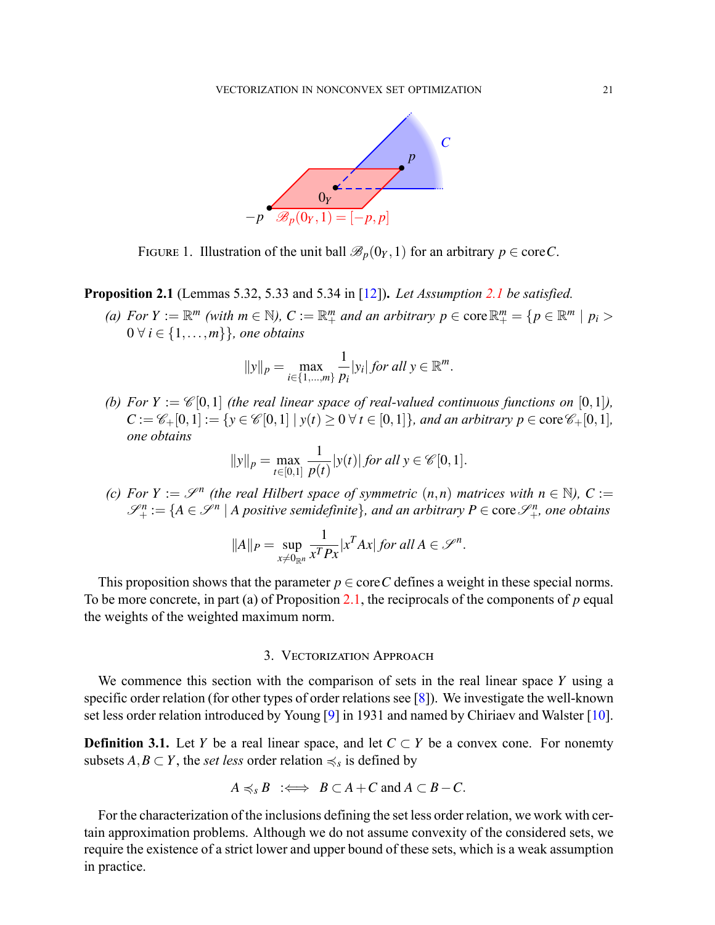

<span id="page-2-1"></span>FIGURE 1. Illustration of the unit ball  $\mathcal{B}_p(0_Y, 1)$  for an arbitrary  $p \in \text{core } C$ .

<span id="page-2-2"></span>**Proposition 2.1** (Lemmas 5.32, 5.33 and 5.34 in [\[12](#page-17-5)])**.** *Let Assumption [2.1](#page-1-1) be satisfied.*

(a) For  $Y := \mathbb{R}^m$  (with  $m \in \mathbb{N}$ ),  $C := \mathbb{R}^m_+$  and an arbitrary  $p \in \text{core } \mathbb{R}^m_+ = \{p \in \mathbb{R}^m \mid p_i > 0\}$ 0 *∀ i ∈ {*1*,...,m}}, one obtains*

$$
||y||_p = \max_{i \in \{1, ..., m\}} \frac{1}{p_i} |y_i|
$$
 for all  $y \in \mathbb{R}^m$ .

*(b)* For  $Y := \mathcal{C}[0,1]$  *(the real linear space of real-valued continuous functions on*  $[0,1]$ *),*  $C := \mathscr{C}_+[0,1] := \{y \in \mathscr{C}[0,1] \mid y(t) \geq 0 \,\forall \, t \in [0,1]\},\$ and an arbitrary  $p \in \text{core } \mathscr{C}_+[0,1],$ *one obtains*

$$
||y||_p = \max_{t \in [0,1]} \frac{1}{p(t)} |y(t)| \text{ for all } y \in \mathcal{C}[0,1].
$$

*(c)* For  $Y := \mathcal{S}^n$  (the real Hilbert space of symmetric  $(n,n)$  matrices with  $n \in \mathbb{N}$ ), C :=  $\mathscr{S}_{+}^{n} := \{A \in \mathscr{S}^{n} \mid A \text{ positive semidefinite}\},\$ and an arbitrary  $P \in \text{core } \mathscr{S}_{+}^{n}$ , one obtains

$$
||A||_P = \sup_{x \neq 0_{\mathbb{R}^n}} \frac{1}{x^T P x} |x^T A x| \text{ for all } A \in \mathcal{S}^n.
$$

This proposition shows that the parameter  $p \in \text{core } C$  defines a weight in these special norms. To be more concrete, in part (a) of Proposition [2.1](#page-2-2), the reciprocals of the components of *p* equal the weights of the weighted maximum norm.

# 3. VECTORIZATION APPROACH

<span id="page-2-0"></span>We commence this section with the comparison of sets in the real linear space *Y* using a specific order relation (for other types of order relations see [\[8](#page-17-1)]). We investigate the well-known set less order relation introduced by Young [\[9](#page-17-2)] in 1931 and named by Chiriaev and Walster[[10\]](#page-17-3).

**Definition 3.1.** Let *Y* be a real linear space, and let  $C \subset Y$  be a convex cone. For nonemty subsets  $A, B \subset Y$ , the *set less* order relation  $\preccurlyeq_s$  is defined by

$$
A \preccurlyeq_{s} B \ \ \Leftrightarrow \ B \subset A + C \text{ and } A \subset B - C.
$$

For the characterization of the inclusions defining the set less order relation, we work with certain approximation problems. Although we do not assume convexity of the considered sets, we require the existence of a strict lower and upper bound of these sets, which is a weak assumption in practice.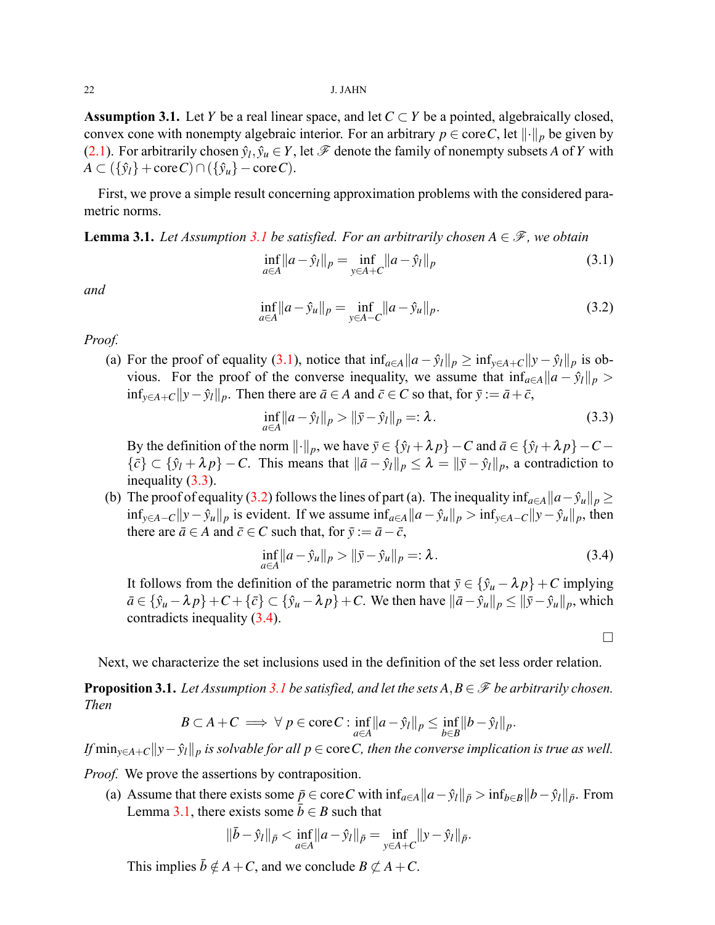<span id="page-3-0"></span>**Assumption 3.1.** Let *Y* be a real linear space, and let  $C \subset Y$  be a pointed, algebraically closed, convex cone with nonempty algebraic interior. For an arbitrary  $p \in \text{core } C$ , let  $||\cdot||_p$  be given by ([2.1\)](#page-1-2). For arbitrarily chosen  $\hat{y}_l$ ,  $\hat{y}_u \in Y$ , let  $\mathscr F$  denote the family of nonempty subsets A of Y with  $A \subset (\{\hat{y}_l\} + \text{core } C) \cap (\{\hat{y}_u\} - \text{core } C).$ 

First, we prove a simple result concerning approximation problems with the considered parametric norms.

<span id="page-3-5"></span>**Lemma [3.1](#page-3-0).** *Let Assumption* 3.1 *be satisfied. For an arbitrarily chosen*  $A \in \mathcal{F}$ *, we obtain* 

<span id="page-3-1"></span>
$$
\inf_{a \in A} ||a - \hat{y}_l||_p = \inf_{y \in A + C} ||a - \hat{y}_l||_p
$$
\n(3.1)

*and*

<span id="page-3-3"></span>
$$
\inf_{a \in A} ||a - \hat{y}_u||_p = \inf_{y \in A - C} ||a - \hat{y}_u||_p.
$$
\n(3.2)

*Proof.*

(a)For the proof of equality ([3.1\)](#page-3-1), notice that  $\inf_{a \in A} ||a - \hat{y}_l||_p \ge \inf_{y \in A+C} ||y - \hat{y}_l||_p$  is obvious. For the proof of the converse inequality, we assume that  $\inf_{a \in A} ||a - \hat{y}_l||_p >$ *inf*<sub>*y*∈*A*+*C* $||y - \hat{y}_l||_p$ . Then there are  $\bar{a} \in A$  and  $\bar{c} \in C$  so that, for  $\bar{y} := \bar{a} + \bar{c}$ ,</sub>

<span id="page-3-2"></span>
$$
\inf_{a \in A} ||a - \hat{y}_l||_p > ||\bar{y} - \hat{y}_l||_p =: \lambda.
$$
\n(3.3)

By the definition of the norm  $\|\cdot\|_p$ , we have  $\bar{y} \in {\{\hat{y}_l + \lambda p\} - C}$  and  $\bar{a} \in {\{\hat{y}_l + \lambda p\} - C}$  $\{\bar{c}\}\subset \{\hat{y}_l+\lambda p\}-C$ . This means that  $\|\bar{a}-\hat{y}_l\|_p \leq \lambda = \|\bar{y}-\hat{y}_l\|_p$ , a contradiction to inequality([3.3\)](#page-3-2).

(b)The proof of equality ([3.2\)](#page-3-3) follows the lines of part (a). The inequality inf<sub>*a*∈*A*</sub> $||a - \hat{y}_u||_p \ge$  $\inf_{y \in A-C} ||y - \hat{y}_u||_p$  is evident. If we assume  $\inf_{a \in A} ||a - \hat{y}_u||_p > \inf_{y \in A-C} ||y - \hat{y}_u||_p$ , then there are  $\bar{a} \in A$  and  $\bar{c} \in C$  such that, for  $\bar{y} := \bar{a} - \bar{c}$ ,

<span id="page-3-4"></span>
$$
\inf_{a \in A} ||a - \hat{y}_u||_p > ||\bar{y} - \hat{y}_u||_p =: \lambda.
$$
\n(3.4)

It follows from the definition of the parametric norm that  $\bar{y} \in {\{\hat{y}_u - \lambda p\}} + C$  implying  $\bar{a}\in\{\hat{y}_u-\lambda p\}+C+\{\bar{c}\}\subset\{\hat{y}_u-\lambda p\}+C$ . We then have  $\|\bar{a}-\hat{y}_u\|_p\leq \|\bar{y}-\hat{y}_u\|_p$ , which contradicts inequality [\(3.4](#page-3-4)).

□

Next, we characterize the set inclusions used in the definition of the set less order relation.

<span id="page-3-6"></span>**Proposition [3.1](#page-3-0).** *Let Assumption 3.1 be satisfied, and let the sets*  $A, B \in \mathcal{F}$  *be arbitrarily chosen. Then*

$$
B\subset A+C\implies \forall p\in \mathrm{core}\,C:\inf_{a\in A}||a-\hat{y}_l||_p\leq \inf_{b\in B}||b-\hat{y}_l||_p.
$$

*If*  $\min_{y \in A+C} ||y-\hat{y}_l||_p$  *is solvable for all*  $p \in \text{core } C$ *, then the converse implication is true as well.* 

*Proof.* We prove the assertions by contraposition.

(a) Assume that there exists some  $\bar{p} \in \text{core } C$  with  $\inf_{a \in A} ||a - \hat{y}_l||_{\bar{p}} > \inf_{b \in B} ||b - \hat{y}_l||_{\bar{p}}$ . From Lemma [3.1](#page-3-5), there exists some  $\bar{b} \in B$  such that

$$
\|\bar{b} - \hat{y}_l\|_{\bar{p}} < \inf_{a \in A} \|a - \hat{y}_l\|_{\bar{p}} = \inf_{y \in A + C} \|y - \hat{y}_l\|_{\bar{p}}.
$$

This implies  $\bar{b} \notin A + C$ , and we conclude  $B \not\subset A + C$ .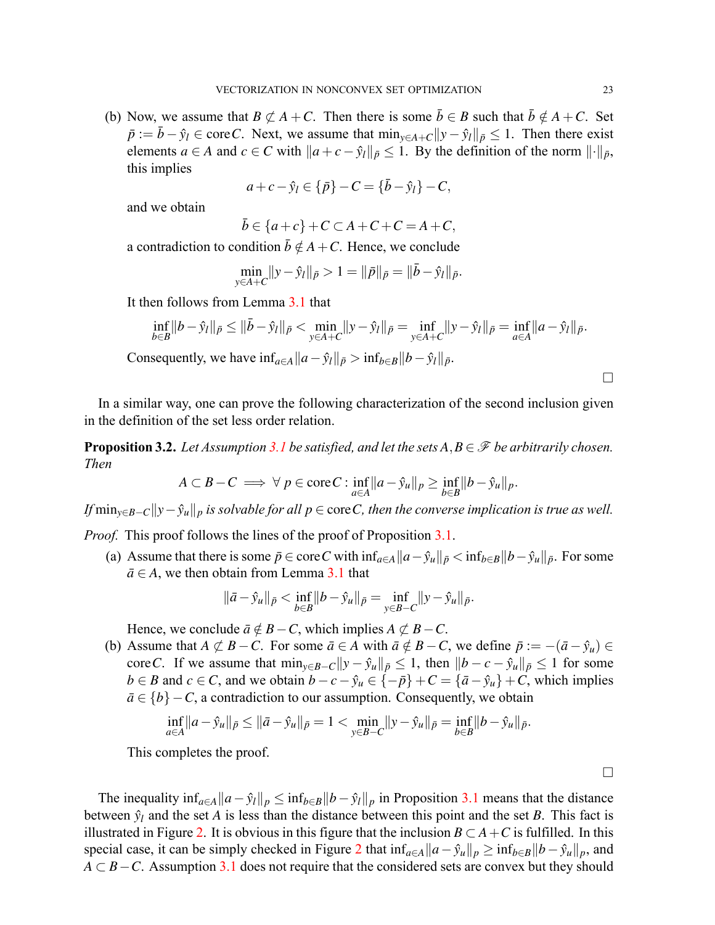(b) Now, we assume that  $B \not\subset A + C$ . Then there is some  $\overline{b} \in B$  such that  $\overline{b} \notin A + C$ . Set *p* :=  $\bar{b} - \hat{y}_l$  ∈ core*C*. Next, we assume that  $\min_{y \in A+C} ||y - \hat{y}_l||_{\bar{p}} \leq 1$ . Then there exist elements *a* ∈ *A* and *c* ∈ *C* with  $||a + c - \hat{y}_l||_{\bar{p}} \le 1$ . By the definition of the norm  $|| \cdot ||_{\bar{p}}$ , this implies

$$
a + c - \hat{y}_l \in \{\bar{p}\} - C = \{\bar{b} - \hat{y}_l\} - C,
$$

and we obtain

$$
\bar{b} \in \{a+c\} + C \subset A + C + C = A + C,
$$

a contradiction to condition  $\bar{b} \notin A + C$ . Hence, we conclude

$$
\min_{y \in A+C} \|y - \hat{y}_l\|_{\bar{p}} > 1 = \|\bar{p}\|_{\bar{p}} = \|\bar{b} - \hat{y}_l\|_{\bar{p}}.
$$

It then follows from Lemma [3.1](#page-3-5) that

$$
\inf_{b\in B} \|b - \hat{y}_l\|_{\bar{p}} \le \|\bar{b} - \hat{y}_l\|_{\bar{p}} < \min_{y\in A+C} \|y - \hat{y}_l\|_{\bar{p}} = \inf_{y\in A+C} \|y - \hat{y}_l\|_{\bar{p}} = \inf_{a\in A} \|a - \hat{y}_l\|_{\bar{p}}.
$$
  
Consequently, we have  $\inf_{a\in A} \|a - \hat{y}_l\|_{\bar{p}} > \inf_{b\in B} \|b - \hat{y}_l\|_{\bar{p}}.$ 

In a similar way, one can prove the following characterization of the second inclusion given in the definition of the set less order relation.

<span id="page-4-0"></span>**Proposition 3.2.** *Let Assumption [3.1](#page-3-0) be satisfied, and let the sets*  $A, B \in \mathcal{F}$  *be arbitrarily chosen. Then*

$$
A\subset B-C\implies\forall p\in\mathrm{core}\,C:\inf_{a\in A}||a-\hat{y}_u||_p\geq\inf_{b\in B}||b-\hat{y}_u||_p.
$$

*If* min<sub> $y \in B - C$  $||y - \hat{y}_u||_p$  *is solvable for all*  $p \in \text{core } C$ *, then the converse implication is true as well.*</sub>

*Proof.* This proof follows the lines of the proof of Proposition [3.1](#page-3-6).

(a) Assume that there is some  $\bar{p} \in \text{core } C$  with  $\inf_{a \in A} ||a - \hat{y}_u||_{\bar{p}} < \inf_{b \in B} ||b - \hat{y}_u||_{\bar{p}}$ . For some  $\bar{a} \in A$ , we then obtain from Lemma [3.1](#page-3-5) that

$$
\|\bar{a} - \hat{y}_u\|_{\bar{p}} < \inf_{b \in B} \|b - \hat{y}_u\|_{\bar{p}} = \inf_{y \in B - C} \|y - \hat{y}_u\|_{\bar{p}}.
$$

Hence, we conclude  $\bar{a} \notin B - C$ , which implies  $A \not\subset B - C$ .

(b) Assume that  $A \not\subset B - C$ . For some  $\bar{a} \in A$  with  $\bar{a} \notin B - C$ , we define  $\bar{p} := -(\bar{a} - \hat{y}_u) \in A$ core C. If we assume that  $\min_{y \in B-C} ||y - \hat{y}_u||_{\bar{p}} \le 1$ , then  $||b - c - \hat{y}_u||_{\bar{p}} \le 1$  for some  $b \in B$  and  $c \in C$ , and we obtain  $b - c - \hat{y}_u \in \{-\bar{p}\} + C = \{\bar{a} - \hat{y}_u\} + C$ , which implies  $\bar{a} \in \{b\} - C$ , a contradiction to our assumption. Consequently, we obtain

$$
\inf_{a\in A}||a-\hat{y}_u||_{\bar{p}} \le ||\bar{a}-\hat{y}_u||_{\bar{p}} = 1 < \min_{y\in B-C}||y-\hat{y}_u||_{\bar{p}} = \inf_{b\in B}||b-\hat{y}_u||_{\bar{p}}.
$$

This completes the proof.

The inequality  $\inf_{a \in A} ||a - \hat{y}_l||_p \le \inf_{b \in B} ||b - \hat{y}_l||_p$  in Proposition [3.1](#page-3-6) means that the distance between  $\hat{y}_l$  and the set *A* is less than the distance between this point and the set *B*. This fact is illustrated in Figure [2](#page-5-0). It is obvious in this figure that the inclusion  $B \subset A + C$  is fulfilled. In this special case, it can be simply checked in Figure [2](#page-5-0) that  $\inf_{a \in A} ||a - \hat{y}_u||_p \ge \inf_{b \in B} ||b - \hat{y}_u||_p$ , and *A*  $\subset$  *B* − *C*. Assumption [3.1](#page-3-0) does not require that the considered sets are convex but they should

□

□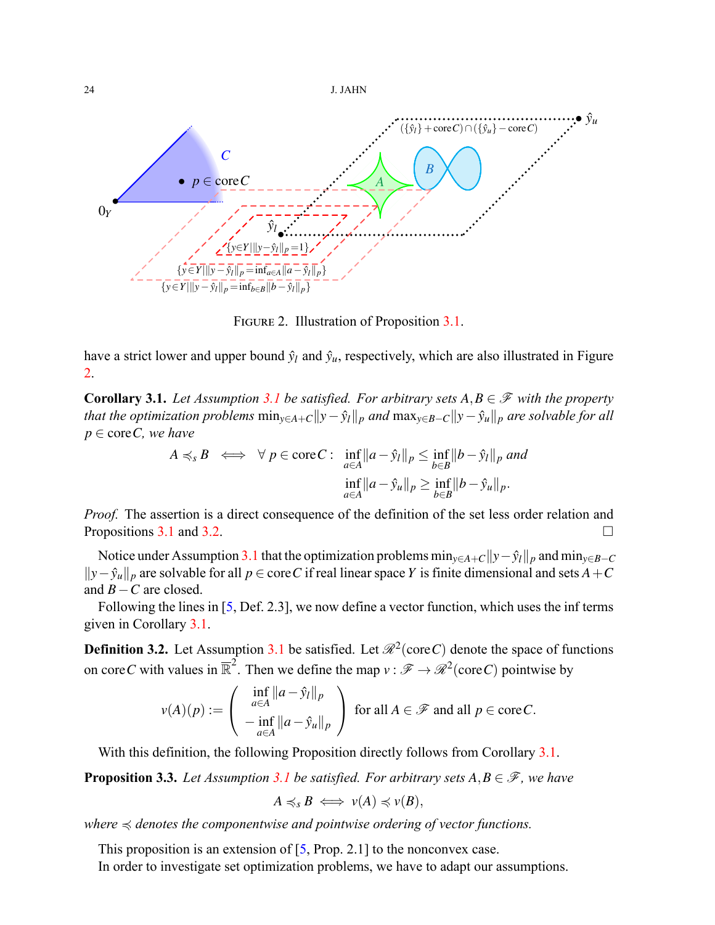



<span id="page-5-0"></span>FIGURE 2. Illustration of Proposition [3.1](#page-3-6).

have a strict lower and upper bound  $\hat{y}_l$  and  $\hat{y}_u$ , respectively, which are also illustrated in Figure [2.](#page-5-0)

<span id="page-5-1"></span>**Corollary [3.1](#page-3-0).** *Let Assumption* 3.1 *be satisfied. For arbitrary sets*  $A, B \in \mathcal{F}$  *with the property* that the optimization problems  $\min_{y \in A+C} ||y - \hat{y}_l||_p$  and  $\max_{y \in B-C} ||y - \hat{y}_u||_p$  are solvable for all *p ∈* core*C, we have*

$$
A \preccurlyeq_{s} B \iff \forall p \in \text{core } C: \quad \inf_{a \in A} \|a - \hat{y}_{l}\|_{p} \le \inf_{b \in B} \|b - \hat{y}_{l}\|_{p} \text{ and}
$$
\n
$$
\inf_{a \in A} \|a - \hat{y}_{u}\|_{p} \ge \inf_{b \in B} \|b - \hat{y}_{u}\|_{p}.
$$

*Proof.* The assertion is a direct consequence of the definition of the set less order relation and Propositions [3.1](#page-3-6) and [3.2.](#page-4-0)  $\Box$ 

Notice under Assumption [3.1](#page-3-0) that the optimization problems  $\min_{y \in A+C} ||y-\hat{y}_l||_p$  and  $\min_{y \in B-C}$  $||y - \hat{y}_u||_p$  are solvable for all *p* ∈ core*C* if real linear space *Y* is finite dimensional and sets *A* + *C* and *B−C* are closed.

Following the lines in[[5,](#page-16-4) Def. 2.3], we now define a vector function, which uses the inf terms given in Corollary [3.1.](#page-5-1)

**Definition 3.2.** Let Assumption [3.1](#page-3-0) be satisfied. Let  $\mathcal{R}^2$  (core *C*) denote the space of functions on core C with values in  $\overline{\mathbb{R}}^2$ . Then we define the map  $v : \mathscr{F} \to \mathscr{R}^2$  (core C) pointwise by

$$
v(A)(p) := \begin{pmatrix} \inf_{a \in A} ||a - \hat{y}_l||_p \\ -\inf_{a \in A} ||a - \hat{y}_u||_p \end{pmatrix}
$$
 for all  $A \in \mathcal{F}$  and all  $p \in \text{core } C$ .

With this definition, the following Proposition directly follows from Corollary [3.1.](#page-5-1)

<span id="page-5-2"></span>**Proposition 3.3.** *Let Assumption* [3.1](#page-3-0) *be satisfied. For arbitrary sets*  $A, B \in \mathcal{F}$ *, we have* 

$$
A \preccurlyeq_{s} B \iff v(A) \preccurlyeq v(B),
$$

*where* ≼ *denotes the componentwise and pointwise ordering of vector functions.*

Thisproposition is an extension of  $[5, Prop. 2.1]$  $[5, Prop. 2.1]$  $[5, Prop. 2.1]$  to the nonconvex case.

In order to investigate set optimization problems, we have to adapt our assumptions.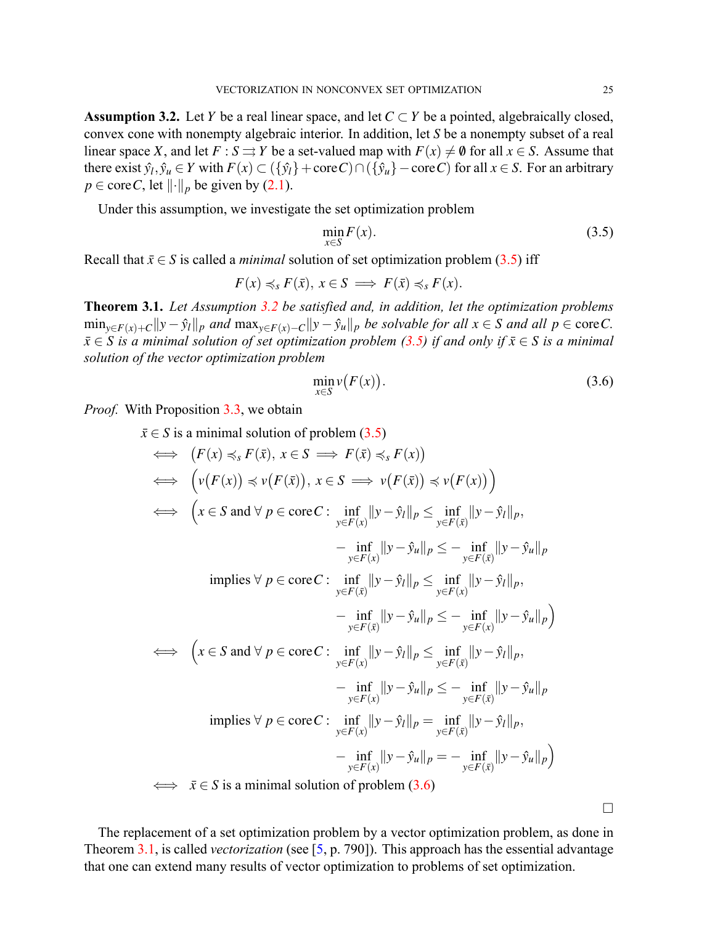<span id="page-6-1"></span>**Assumption 3.2.** Let *Y* be a real linear space, and let  $C \subset Y$  be a pointed, algebraically closed, convex cone with nonempty algebraic interior. In addition, let *S* be a nonempty subset of a real linear space *X*, and let  $F : S \rightrightarrows Y$  be a set-valued map with  $F(x) \neq \emptyset$  for all  $x \in S$ . Assume that there exist  $\hat{y}_l, \hat{y}_u \in Y$  with  $F(x) \subset (\{\hat{y}_l\} + \text{core } C) \cap (\{\hat{y}_u\} - \text{core } C)$  for all  $x \in S$ . For an arbitrary  $p \in \text{core } C$ , let  $\lVert \cdot \rVert_p$  be given by [\(2.1](#page-1-2)).

Under this assumption, we investigate the set optimization problem

<span id="page-6-0"></span>
$$
\min_{x \in S} F(x). \tag{3.5}
$$

Recall that  $\bar{x} \in S$  is called a *minimal* solution of set optimization problem [\(3.5](#page-6-0)) iff

$$
F(x) \preccurlyeq_{s} F(\bar{x}), x \in S \implies F(\bar{x}) \preccurlyeq_{s} F(x).
$$

<span id="page-6-3"></span>**Theorem 3.1.** *Let Assumption [3.2](#page-6-1) be satisfied and, in addition, let the optimization problems*  $\min_{y \in F(x) + C} ||y - \hat{y}_l||_p$  and  $\max_{y \in F(x) - C} ||y - \hat{y}_u||_p$  be solvable for all  $x \in S$  and all  $p \in \text{core } C$ .  $\bar{x} \in S$  *is a minimal solution of set optimization problem* [\(3.5](#page-6-0)) *if and only if*  $\bar{x} \in S$  *is a minimal solution of the vector optimization problem*

<span id="page-6-2"></span>
$$
\min_{x \in S} \nu(F(x)).\tag{3.6}
$$

*Proof.* With Proposition [3.3](#page-5-2), we obtain

$$
\bar{x} \in S \text{ is a minimal solution of problem } (3.5)
$$
\n
$$
\iff (F(x) \preccurlyeq_{s} F(\bar{x}), x \in S \implies F(\bar{x}) \preccurlyeq_{s} F(x))
$$
\n
$$
\iff (\nu(F(x)) \preccurlyeq \nu(F(\bar{x})), x \in S \implies \nu(F(\bar{x})) \preccurlyeq \nu(F(x)))
$$
\n
$$
\iff (x \in S \text{ and } \forall p \in \text{core } C : \inf_{y \in F(x)} ||y - \hat{y}_l||_p \le \inf_{y \in F(\bar{x})} ||y - \hat{y}_l||_p,
$$
\n
$$
-\inf_{y \in F(x)} ||y - \hat{y}_u||_p \le -\inf_{y \in F(\bar{x})} ||y - \hat{y}_l||_p,
$$
\n
$$
\text{implies } \forall p \in \text{core } C : \inf_{y \in F(\bar{x})} ||y - \hat{y}_l||_p \le \inf_{y \in F(\bar{x})} ||y - \hat{y}_l||_p,
$$
\n
$$
-\inf_{y \in F(\bar{x})} ||y - \hat{y}_u||_p \le -\inf_{y \in F(\bar{x})} ||y - \hat{y}_l||_p,
$$
\n
$$
\iff (x \in S \text{ and } \forall p \in \text{core } C : \inf_{y \in F(x)} ||y - \hat{y}_l||_p \le \inf_{y \in F(\bar{x})} ||y - \hat{y}_l||_p,
$$
\n
$$
-\inf_{y \in F(x)} ||y - \hat{y}_u||_p \le -\inf_{y \in F(\bar{x})} ||y - \hat{y}_l||_p,
$$
\n
$$
\text{implies } \forall p \in \text{core } C : \inf_{y \in F(x)} ||y - \hat{y}_l||_p = \inf_{y \in F(\bar{x})} ||y - \hat{y}_l||_p,
$$
\n
$$
-\inf_{y \in F(x)} ||y - \hat{y}_u||_p = -\inf_{y \in F(\bar{x})} ||y - \hat{y}_u||_p
$$
\n
$$
\iff \bar{x} \in S \text{ is a minimal solution of problem (3.6)}
$$

The replacement of a set optimization problem by a vector optimization problem, as done in Theorem [3.1,](#page-6-3) is called *vectorization* (see [\[5](#page-16-4), p. 790]). This approach has the essential advantage that one can extend many results of vector optimization to problems of set optimization.

□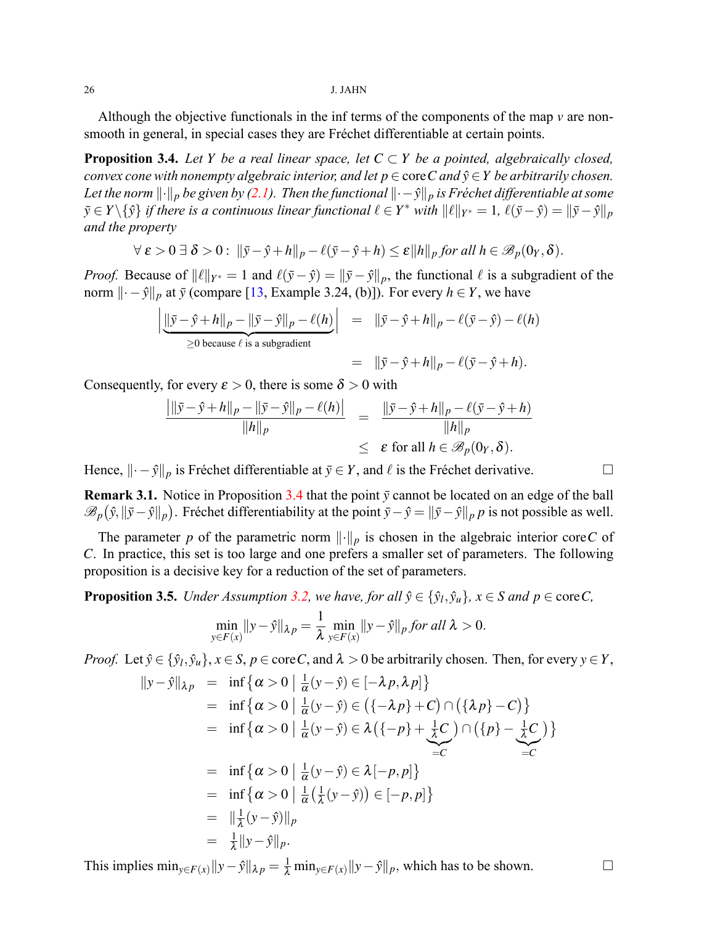Although the objective functionals in the inf terms of the components of the map *v* are nonsmooth in general, in special cases they are Fréchet differentiable at certain points.

<span id="page-7-0"></span>**Proposition 3.4.** Let *Y* be a real linear space, let  $C \subset Y$  be a pointed, algebraically closed, *convex cone with nonempty algebraic interior, and let*  $p \in \text{core } C$  *and*  $\hat{y} \in Y$  *be arbitrarily chosen. Let the norm*  $\|\cdot\|_p$  *be given by* [\(2.1](#page-1-2)). Then the functional  $\|\cdot - \hat{y}\|_p$  is Fréchet differentiable at some  $\bar{y} \in Y \setminus \{\hat{y}\}\$ if there is a continuous linear functional  $\ell \in Y^*$  with  $\|\ell\|_{Y^*} = 1$ ,  $\ell(\bar{y} - \hat{y}) = \|\bar{y} - \hat{y}\|_p$ *and the property*

$$
\forall \ \varepsilon > 0 \ \exists \ \delta > 0 : \ ||\bar{y} - \hat{y} + h||_p - \ell(\bar{y} - \hat{y} + h) \le \varepsilon ||h||_p \ \text{for all} \ h \in \mathscr{B}_p(0_Y, \delta).
$$

*Proof.* Because of  $||\ell||_{Y^*} = 1$  and  $\ell(\bar{y} - \hat{y}) = ||\bar{y} - \hat{y}||_p$ , the functional  $\ell$  is a subgradient of the norm *∥· −y*ˆ*∥<sup>p</sup>* at *y*¯ (compare [\[13](#page-17-6), Example 3.24, (b)]). For every *h ∈ Y*, we have

$$
\left| \underbrace{\|\bar{y} - \hat{y} + h\|_p - \|\bar{y} - \hat{y}\|_p - \ell(h)}_{\geq 0 \text{ because } \ell \text{ is a subgradient}} \right| = \|\bar{y} - \hat{y} + h\|_p - \ell(\bar{y} - \hat{y}) - \ell(h)
$$
\n
$$
= \|\bar{y} - \hat{y} + h\|_p - \ell(\bar{y} - \hat{y} + h).
$$

Consequently, for every  $\varepsilon > 0$ , there is some  $\delta > 0$  with

$$
\frac{\left| \|\bar{y} - \hat{y} + h\|_p - \|\bar{y} - \hat{y}\|_p - \ell(h) \right|}{\|h\|_p} = \frac{\left\| \bar{y} - \hat{y} + h\right\|_p - \ell(\bar{y} - \hat{y} + h)}{\|h\|_p} \leq \varepsilon \text{ for all } h \in \mathscr{B}_p(0_Y, \delta).
$$

Hence,  $|| \cdot - \hat{y} ||_p$  is Fréchet differentiable at  $\bar{y} \in Y$ , and  $\ell$  is the Fréchet derivative. □

**Remark 3.1.** Notice in Proposition [3.4](#page-7-0) that the point  $\bar{y}$  cannot be located on an edge of the ball  $\mathscr{B}_p(\hat{y}, \|\bar{y}-\hat{y}\|_p)$ . Fréchet differentiability at the point  $\bar{y}-\hat{y} = \|\bar{y}-\hat{y}\|_p$  is not possible as well.

The parameter *p* of the parametric norm *∥·∥<sup>p</sup>* is chosen in the algebraic interior core*C* of *C*. In practice, this set is too large and one prefers a smaller set of parameters. The following proposition is a decisive key for a reduction of the set of parameters.

<span id="page-7-1"></span>**Proposition 3.5.** Under Assumption [3.2](#page-6-1), we have, for all  $\hat{y} \in {\hat{y}_l, \hat{y}_u}$ ,  $x \in S$  and  $p \in \text{core } C$ ,

$$
\min_{y \in F(x)} ||y - \hat{y}||_{\lambda p} = \frac{1}{\lambda} \min_{y \in F(x)} ||y - \hat{y}||_p \text{ for all } \lambda > 0.
$$

*Proof.* Let  $\hat{y} \in {\hat{y}_l, \hat{y}_u}$ ,  $x \in S$ ,  $p \in \text{core } C$ , and  $\lambda > 0$  be arbitrarily chosen. Then, for every  $y \in Y$ ,

$$
||y-\hat{y}||_{\lambda p} = \inf \{ \alpha > 0 \mid \frac{1}{\alpha}(y-\hat{y}) \in [-\lambda p, \lambda p] \}
$$
  
\n
$$
= \inf \{ \alpha > 0 \mid \frac{1}{\alpha}(y-\hat{y}) \in (\{-\lambda p\}+C) \cap (\{\lambda p\}-C) \}
$$
  
\n
$$
= \inf \{ \alpha > 0 \mid \frac{1}{\alpha}(y-\hat{y}) \in \lambda (\{-p\}+\frac{1}{\lambda}C) \cap (\{p\}-\frac{1}{\lambda}C) \}
$$
  
\n
$$
= \inf \{ \alpha > 0 \mid \frac{1}{\alpha}(y-\hat{y}) \in \lambda [-p,p] \}
$$
  
\n
$$
= \inf \{ \alpha > 0 \mid \frac{1}{\alpha}(\frac{1}{\lambda}(y-\hat{y})) \in [-p,p] \}
$$
  
\n
$$
= \Vert \frac{1}{\lambda}(y-\hat{y}) \Vert_p
$$
  
\n
$$
= \frac{1}{\lambda} ||y-\hat{y}||_p.
$$

This implies  $\min_{y \in F(x)} ||y - \hat{y}||_{\lambda p} = \frac{1}{\lambda} \min_{y \in F(x)} ||y - \hat{y}||_p$ , which has to be shown.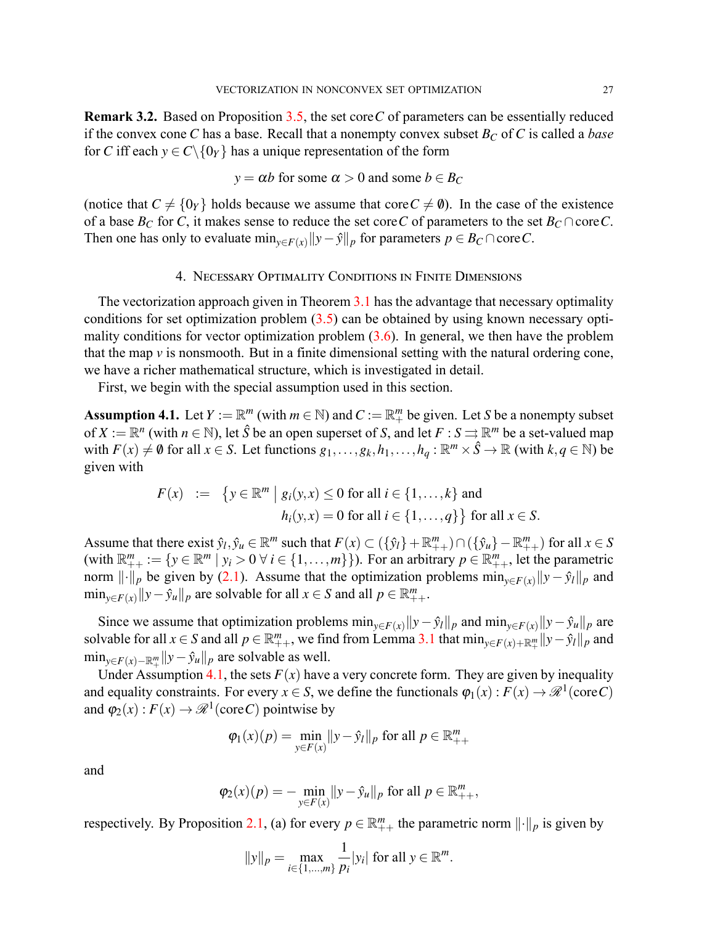<span id="page-8-2"></span>**Remark 3.2.** Based on Proposition [3.5,](#page-7-1) the set core*C* of parameters can be essentially reduced if the convex cone *C* has a base. Recall that a nonempty convex subset *B<sup>C</sup>* of *C* is called a *base* for *C* iff each  $y \in C \setminus \{0\}$  has a unique representation of the form

$$
y = \alpha b
$$
 for some  $\alpha > 0$  and some  $b \in B_C$ 

(notice that  $C \neq \{0\}$  holds because we assume that core  $C \neq \emptyset$ ). In the case of the existence of a base  $B_C$  for *C*, it makes sense to reduce the set core *C* of parameters to the set  $B_C \cap \text{core } C$ . Then one has only to evaluate min<sub> $v \in F(x)$ </sub>  $||y - \hat{y}||_p$  for parameters  $p \in B_c \cap \text{core } C$ .

## 4. NECESSARY OPTIMALITY CONDITIONS IN FINITE DIMENSIONS

<span id="page-8-0"></span>The vectorization approach given in Theorem [3.1](#page-6-3) has the advantage that necessary optimality conditionsfor set optimization problem  $(3.5)$  $(3.5)$  $(3.5)$  can be obtained by using known necessary optimality conditions for vector optimization problem([3.6\)](#page-6-2). In general, we then have the problem that the map *v* is nonsmooth. But in a finite dimensional setting with the natural ordering cone, we have a richer mathematical structure, which is investigated in detail.

First, we begin with the special assumption used in this section.

<span id="page-8-1"></span>**Assumption 4.1.** Let  $Y := \mathbb{R}^m$  (with  $m \in \mathbb{N}$ ) and  $C := \mathbb{R}^m_+$  be given. Let *S* be a nonempty subset of  $X := \mathbb{R}^n$  (with  $n \in \mathbb{N}$ ), let  $\hat{S}$  be an open superset of *S*, and let  $F : S \rightrightarrows \mathbb{R}^m$  be a set-valued map with  $F(x) \neq \emptyset$  for all  $x \in S$ . Let functions  $g_1, \ldots, g_k, h_1, \ldots, h_q : \mathbb{R}^m \times \hat{S} \to \mathbb{R}$  (with  $k, q \in \mathbb{N}$ ) be given with

$$
F(x) := \{ y \in \mathbb{R}^m \mid g_i(y, x) \le 0 \text{ for all } i \in \{1, ..., k\} \text{ and}
$$
  

$$
h_i(y, x) = 0 \text{ for all } i \in \{1, ..., q\} \} \text{ for all } x \in S.
$$

Assume that there exist  $\hat{y}_l, \hat{y}_u \in \mathbb{R}^m$  such that  $F(x) \subset (\{\hat{y}_l\} + \mathbb{R}_{++}^m) \cap (\{\hat{y}_u\} - \mathbb{R}_{++}^m)$  for all  $x \in S$ (with  $\mathbb{R}_{++}^m := \{ y \in \mathbb{R}^m \mid y_i > 0 \ \forall i \in \{1, ..., m\} \}$ ). For an arbitrary  $p \in \mathbb{R}_{++}^m$ , let the parametric norm $\|\cdot\|_p$  be given by ([2.1\)](#page-1-2). Assume that the optimization problems  $\min_{y \in F(x)} \|y - \hat{y}_l\|_p$  and  $\min_{y \in F(x)} ||y - \hat{y}_u||_p$  are solvable for all  $x \in S$  and all  $p \in \mathbb{R}^m_{++}$ .

Since we assume that optimization problems  $\min_{y \in F(x)} ||y - \hat{y}_l||_p$  and  $\min_{y \in F(x)} ||y - \hat{y}_u||_p$  are solvable for all  $x \in S$  and all  $p \in \mathbb{R}^m_{++}$ , we find from Lemma [3.1](#page-3-5) that  $\min_{y \in F(x) + \mathbb{R}^m_+} ||y - \hat{y}_l||_p$  and min*y∈F*(*x*)*−*R*<sup>m</sup>* + *∥y−y*ˆ*u∥<sup>p</sup>* are solvable as well.

Under Assumption [4.1,](#page-8-1) the sets  $F(x)$  have a very concrete form. They are given by inequality and equality constraints. For every  $x \in S$ , we define the functionals  $\varphi_1(x) : F(x) \to \mathcal{R}^1(\text{core } C)$ and  $\varphi_2(x) : F(x) \to \mathcal{R}^1(\text{core } C)$  pointwise by

$$
\varphi_1(x)(p) = \min_{y \in F(x)} ||y - \hat{y}_l||_p
$$
 for all  $p \in \mathbb{R}_{++}^m$ 

and

$$
\varphi_2(x)(p) = - \min_{y \in F(x)} \|y - \hat{y}_u\|_p \text{ for all } p \in \mathbb{R}^m_{++},
$$

respectively. By Proposition [2.1,](#page-2-2) (a) for every  $p \in \mathbb{R}_{++}^m$  the parametric norm  $\lVert \cdot \rVert_p$  is given by

$$
||y||_p = \max_{i \in \{1, ..., m\}} \frac{1}{p_i} |y_i| \text{ for all } y \in \mathbb{R}^m.
$$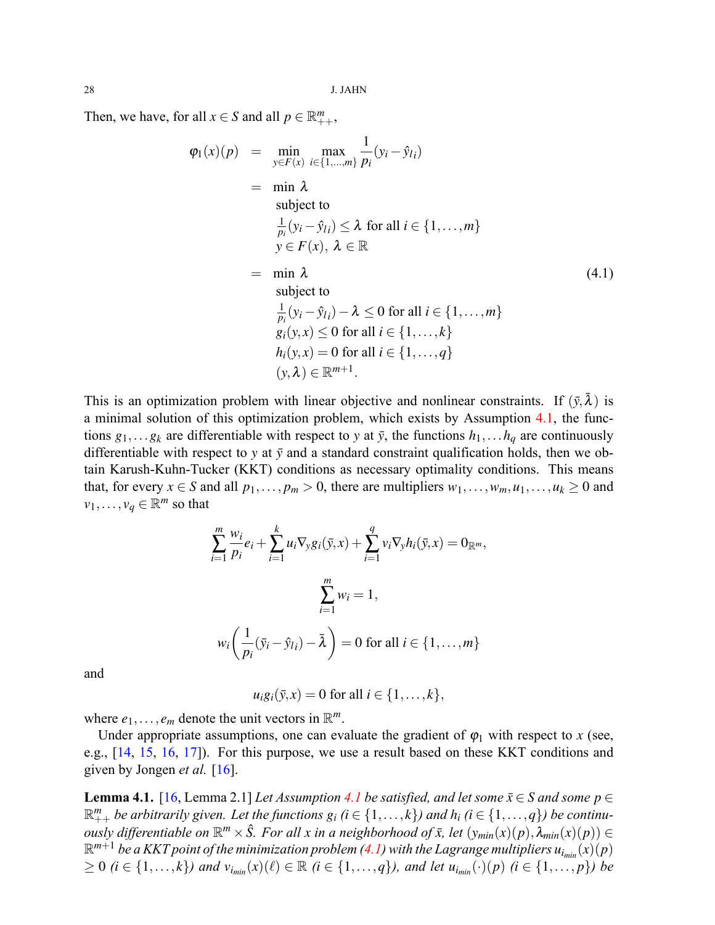Then, we have, for all  $x \in S$  and all  $p \in \mathbb{R}^m_{++}$ ,

<span id="page-9-0"></span>
$$
\varphi_1(x)(p) = \min_{y \in F(x)} \max_{i \in \{1, ..., m\}} \frac{1}{p_i} (y_i - \hat{y}_{l_i})
$$
\n
$$
= \min \lambda
$$
\nsubject to\n
$$
\frac{1}{p_i} (y_i - \hat{y}_{l_i}) \le \lambda \text{ for all } i \in \{1, ..., m\}
$$
\n
$$
y \in F(x), \lambda \in \mathbb{R}
$$
\n
$$
= \min \lambda
$$
\nsubject to\n
$$
\frac{1}{p_i} (y_i - \hat{y}_{l_i}) - \lambda \le 0 \text{ for all } i \in \{1, ..., m\}
$$
\n
$$
g_i(y, x) \le 0 \text{ for all } i \in \{1, ..., k\}
$$
\n
$$
h_i(y, x) = 0 \text{ for all } i \in \{1, ..., q\}
$$
\n
$$
(y, \lambda) \in \mathbb{R}^{m+1}.
$$
\n(4.1)

This is an optimization problem with linear objective and nonlinear constraints. If  $(\bar{y}, \bar{\lambda})$  is a minimal solution of this optimization problem, which exists by Assumption [4.1,](#page-8-1) the functions  $g_1, \ldots, g_k$  are differentiable with respect to y at  $\bar{y}$ , the functions  $h_1, \ldots, h_q$  are continuously differentiable with respect to  $y$  at  $\bar{y}$  and a standard constraint qualification holds, then we obtain Karush-Kuhn-Tucker (KKT) conditions as necessary optimality conditions. This means that, for every *x* ∈ *S* and all  $p_1, \ldots, p_m > 0$ , there are multipliers  $w_1, \ldots, w_m, u_1, \ldots, u_k ≥ 0$  and  $v_1, \ldots, v_q \in \mathbb{R}^m$  so that

$$
\sum_{i=1}^{m} \frac{w_i}{p_i} e_i + \sum_{i=1}^{k} u_i \nabla_y g_i(\bar{y}, x) + \sum_{i=1}^{q} v_i \nabla_y h_i(\bar{y}, x) = 0_{\mathbb{R}^m},
$$

$$
\sum_{i=1}^{m} w_i = 1,
$$

$$
w_i \left( \frac{1}{p_i} (\bar{y}_i - \hat{y}_{li}) - \bar{\lambda} \right) = 0 \text{ for all } i \in \{1, ..., m\}
$$

and

$$
u_i g_i(\bar{y}, x) = 0 \text{ for all } i \in \{1, \ldots, k\},
$$

where  $e_1, \ldots, e_m$  denote the unit vectors in  $\mathbb{R}^m$ .

Under appropriate assumptions, one can evaluate the gradient of  $\varphi_1$  with respect to *x* (see, e.g., [\[14](#page-17-7), [15](#page-17-8), [16](#page-17-9), [17\]](#page-17-10)). For this purpose, we use a result based on these KKT conditions and given by Jongen *et al.* [\[16](#page-17-9)].

<span id="page-9-1"></span>**Lemma [4.1](#page-8-1).** [\[16](#page-17-9), Lemma 2.1] *Let Assumption 4.1 be satisfied, and let some*  $\bar{x} \in S$  *and some*  $p \in$  $\mathbb{R}^m_{++}$  be arbitrarily given. Let the functions  $g_i$   $(i \in \{1,\ldots,k\})$  and  $h_i$   $(i \in \{1,\ldots,q\})$  be continu*ously differentiable on*  $\mathbb{R}^m \times \hat{S}$ *. For all x in a neighborhood of*  $\bar{x}$ *, let*  $(y_{min}(x)(p), \lambda_{min}(x)(p)) \in$  $\mathbb{R}^{m+1}$ be a KKT point of the minimization problem ([4.1\)](#page-9-0) with the Lagrange multipliers  $u_{i_{min}}(x)(p)$  $\geq 0$  (i  $\in \{1,\ldots,k\}$ ) and  $v_{i_{min}}(x)(\ell) \in \mathbb{R}$  (i  $\in \{1,\ldots,q\}$ ), and let  $u_{i_{min}}(\cdot)(p)$  (i  $\in \{1,\ldots,p\}$ ) be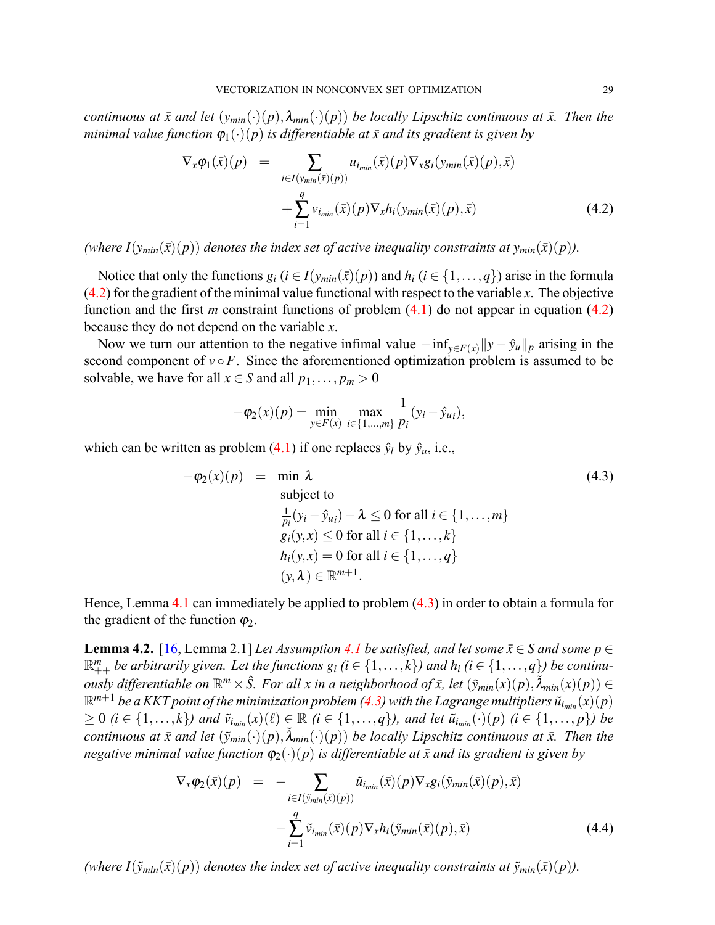*continuous at*  $\bar{x}$  *and let*  $(y_{min}(\cdot)(p), \lambda_{min}(\cdot)(p))$  *be locally Lipschitz continuous at*  $\bar{x}$ *. Then the minimal value function*  $\varphi_1(\cdot)(p)$  *is differentiable at*  $\bar{x}$  *and its gradient is given by* 

<span id="page-10-0"></span>
$$
\nabla_x \varphi_1(\bar{x})(p) = \sum_{i \in I(y_{min}(\bar{x})(p))} u_{i_{min}}(\bar{x})(p) \nabla_x g_i(y_{min}(\bar{x})(p), \bar{x}) + \sum_{i=1}^q v_{i_{min}}(\bar{x})(p) \nabla_x h_i(y_{min}(\bar{x})(p), \bar{x})
$$
\n(4.2)

*(where*  $I(y_{min}(\bar{x})(p))$  *denotes the index set of active inequality constraints at*  $y_{min}(\bar{x})(p)$ *).* 

Notice that only the functions  $g_i$  ( $i \in I(y_{min}(\bar{x})(p))$  and  $h_i$  ( $i \in \{1, ..., q\}$ ) arise in the formula ([4.2\)](#page-10-0) for the gradient of the minimal value functional with respect to the variable *x*. The objective function and the first *m* constraint functions of problem [\(4.1](#page-9-0)) do not appear in equation([4.2\)](#page-10-0) because they do not depend on the variable *x*.

Now we turn our attention to the negative infimal value  $-\inf_{y \in F(x)} \|y - \hat{y}_u\|_p$  arising in the second component of  $v \circ F$ . Since the aforementioned optimization problem is assumed to be solvable, we have for all  $x \in S$  and all  $p_1, \ldots, p_m > 0$ 

$$
-\varphi_2(x)(p) = \min_{y \in F(x)} \max_{i \in \{1, \dots, m\}} \frac{1}{p_i}(y_i - \hat{y}_{ui}),
$$

whichcan be written as problem ([4.1\)](#page-9-0) if one replaces  $\hat{y}_l$  by  $\hat{y}_u$ , i.e.,

<span id="page-10-1"></span>
$$
-\varphi_2(x)(p) = \min \lambda
$$
\nsubject to\n
$$
\frac{1}{p_i}(y_i - \hat{y}_{u_i}) - \lambda \leq 0 \text{ for all } i \in \{1, ..., m\}
$$
\n
$$
g_i(y, x) \leq 0 \text{ for all } i \in \{1, ..., k\}
$$
\n
$$
h_i(y, x) = 0 \text{ for all } i \in \{1, ..., q\}
$$
\n
$$
(y, \lambda) \in \mathbb{R}^{m+1}.
$$
\n(4.3)

Hence, Lemma [4.1](#page-9-1) can immediately be applied to problem [\(4.3](#page-10-1)) in order to obtain a formula for the gradient of the function  $\varphi_2$ .

<span id="page-10-2"></span>**Lemma 4.2.** [\[16](#page-17-9), Lemma 2.1] *Let Assumption [4.1](#page-8-1) be satisfied, and let some*  $\bar{x} \in S$  *and some*  $p \in$  $\mathbb{R}^m_{++}$  be arbitrarily given. Let the functions  $g_i$   $(i \in \{1,\ldots,k\})$  and  $h_i$   $(i \in \{1,\ldots,q\})$  be continuously differentiable on  $\mathbb{R}^m\times \hat{S}$ . For all x in a neighborhood of  $\bar{x}$ , let  $(\tilde{y}_{min}(x)(p),\tilde{\lambda}_{min}(x)(p))\in$  $\mathbb{R}^{m+1}$ be a KKT point of the minimization problem ([4.3\)](#page-10-1) with the Lagrange multipliers  $\tilde{u}_{i_{min}}(x)(p)$  $\geq 0$  (i  $\in \{1,\ldots,k\}$ ) and  $\tilde{v}_{i_{min}}(x)(\ell) \in \mathbb{R}$  (i  $\in \{1,\ldots,q\}$ ), and let  $\tilde{u}_{i_{min}}(\cdot)(p)$  (i  $\in \{1,\ldots,p\}$ ) be *continuous at*  $\bar{x}$  *and let*  $(\tilde{y}_{min}(\cdot)(p), \tilde{\lambda}_{min}(\cdot)(p))$  *be locally Lipschitz continuous at*  $\bar{x}$ *. Then the negative minimal value function*  $\varphi_2(\cdot)(p)$  *is differentiable at*  $\bar{x}$  *and its gradient is given by* 

<span id="page-10-3"></span>
$$
\nabla_x \varphi_2(\bar{x})(p) = - \sum_{i \in I(\bar{y}_{min}(\bar{x})(p))} \tilde{u}_{i_{min}}(\bar{x})(p) \nabla_x g_i(\bar{y}_{min}(\bar{x})(p), \bar{x}) - \sum_{i=1}^q \tilde{v}_{i_{min}}(\bar{x})(p) \nabla_x h_i(\bar{y}_{min}(\bar{x})(p), \bar{x}) \tag{4.4}
$$

*(where*  $I(\tilde{y}_{min}(\bar{x})(p))$  *denotes the index set of active inequality constraints at*  $\tilde{y}_{min}(\bar{x})(p)$ *).*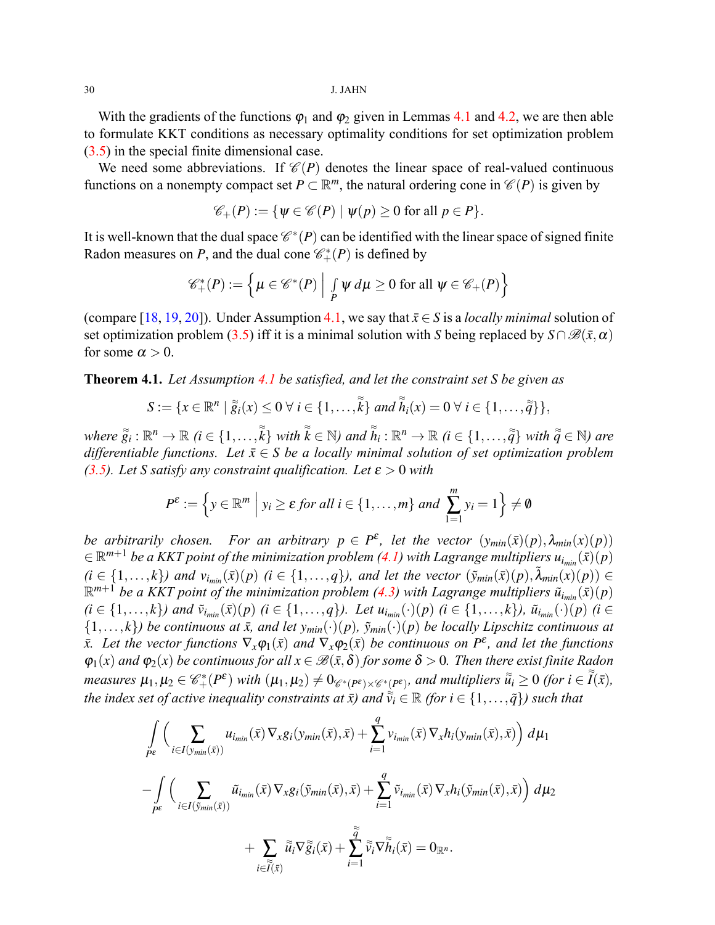With the gradients of the functions  $\varphi_1$  and  $\varphi_2$  given in Lemmas [4.1](#page-9-1) and [4.2,](#page-10-2) we are then able to formulate KKT conditions as necessary optimality conditions for set optimization problem ([3.5\)](#page-6-0) in the special finite dimensional case.

We need some abbreviations. If  $\mathcal{C}(P)$  denotes the linear space of real-valued continuous functions on a nonempty compact set  $P \subset \mathbb{R}^m$ , the natural ordering cone in  $\mathcal{C}(P)$  is given by

$$
\mathscr{C}_+(P) := \{ \psi \in \mathscr{C}(P) \mid \psi(p) \ge 0 \text{ for all } p \in P \}.
$$

It is well-known that the dual space  $\mathscr{C}^*(P)$  can be identified with the linear space of signed finite Radon measures on *P*, and the dual cone  $\mathcal{C}_+^*(P)$  is defined by

$$
\mathscr{C}^*_+(P) := \left\{ \mu \in \mathscr{C}^*(P) \mid \int_P \psi \, d\mu \ge 0 \text{ for all } \psi \in \mathscr{C}_+(P) \right\}
$$

(compare[[18,](#page-17-11) [19,](#page-17-12) [20](#page-17-13)]). Under Assumption [4.1,](#page-8-1) we say that  $\bar{x} \in S$  is a *locally minimal* solution of setoptimization problem ([3.5](#page-6-0)) iff it is a minimal solution with *S* being replaced by  $S \cap \mathcal{B}(\bar{x}, \alpha)$ for some  $\alpha > 0$ .

<span id="page-11-0"></span>**Theorem 4.1.** *Let Assumption [4.1](#page-8-1) be satisfied, and let the constraint set S be given as*

$$
S:=\{x\in\mathbb{R}^n\mid \tilde{g}_i(x)\leq 0\ \forall\ i\in\{1,\ldots,\tilde{k}\}\ and\ \tilde{h}_i(x)=0\ \forall\ i\in\{1,\ldots,\tilde{q}\}\},\
$$

where  $\tilde{g}_i:\mathbb{R}^n\to\mathbb{R}$   $(i\in\{1,\ldots,\tilde{k}\}$  with  $\tilde{k}\in\mathbb{N}$ ) and  $\tilde{h}_i:\mathbb{R}^n\to\mathbb{R}$   $(i\in\{1,\ldots,\tilde{q}\}$  with  $\tilde{\tilde{q}}\in\mathbb{N}$ ) are *differentiable functions. Let*  $\bar{x} \in S$  *be a locally minimal solution of set optimization problem (***[3.5\)](#page-6-0)***. Let S satisfy any constraint qualification. Let*  $\varepsilon > 0$  *with* 

$$
P^{\varepsilon} := \left\{ y \in \mathbb{R}^m \; \middle| \; y_i \geq \varepsilon \text{ for all } i \in \{1, \ldots, m\} \text{ and } \sum_{1=1}^m y_i = 1 \right\} \neq \emptyset
$$

*be arbitrarily chosen.* For an arbitrary  $p \in P^{\varepsilon}$ , let the vector  $(y_{min}(\bar{x})(p), \lambda_{min}(x)(p))$  $\in \mathbb{R}^{m+1}$  $\in \mathbb{R}^{m+1}$  $\in \mathbb{R}^{m+1}$  be a KKT point of the minimization problem ([4.1\)](#page-9-0) with Lagrange multipliers  $u_{i_{min}}(\bar{x})(p)$  $(i \in \{1,\ldots,k\})$  and  $v_{i_{min}}(\bar{x})(p)$   $(i \in \{1,\ldots,q\})$ , and let the vector  $(\tilde{y}_{min}(\bar{x})(p), \tilde{\lambda}_{min}(x)(p)) \in$  $\mathbb{R}^{m+1}$ be a KKT point of the minimization problem ([4.3](#page-10-1)) with Lagrange multipliers  $\tilde{u}_{i_{min}}(\bar{x})(p)$  $(i \in \{1,\ldots,k\})$  and  $\tilde{v}_{i_{min}}(\bar{x})(p)$   $(i \in \{1,\ldots,q\})$ . Let  $u_{i_{min}}(\cdot)(p)$   $(i \in \{1,\ldots,k\})$ ,  $\tilde{u}_{i_{min}}(\cdot)(p)$   $(i \in \{1,\ldots,k\})$  $\{1,\ldots,k\}$ *) be continuous at*  $\bar{x}$ *, and let*  $y_{min}(\cdot)(p)$ *,*  $\tilde{y}_{min}(\cdot)(p)$  *be locally Lipschitz continuous at*  $\bar{x}$ . Let the vector functions  $\nabla_x \varphi_1(\bar{x})$  and  $\nabla_x \varphi_2(\bar{x})$  be continuous on  $P^{\varepsilon}$ , and let the functions  $\varphi_1(x)$  *and*  $\varphi_2(x)$  *be continuous for all*  $x \in \mathcal{B}(\bar{x}, \delta)$  *for some*  $\delta > 0$ *. Then there exist finite Radon* measures  $\mu_1, \mu_2 \in \mathscr{C}_+^*(P^{\varepsilon})$  with  $(\mu_1, \mu_2) \neq 0_{\mathscr{C}^*(P^{\varepsilon}) \times \mathscr{C}^*(P^{\varepsilon})}$ , and multipliers  $\tilde{\tilde{u}}_i \geq 0$  (for  $i \in \tilde{I}(\bar{x})$ , *the index set of active inequality constraints at*  $\bar{x}$ *) and*  $\tilde{\tilde{v}}_i \in \mathbb{R}$  *(for*  $i \in \{1,\ldots,\tilde{q}\}$ *) such that* 

$$
\int_{P^{\varepsilon}} \Big( \sum_{i \in I(y_{min}(\bar{x}))} u_{i_{min}}(\bar{x}) \nabla_x g_i(y_{min}(\bar{x}), \bar{x}) + \sum_{i=1}^q v_{i_{min}}(\bar{x}) \nabla_x h_i(y_{min}(\bar{x}), \bar{x}) \Big) d\mu_1
$$
\n
$$
- \int_{P^{\varepsilon}} \Big( \sum_{i \in I(\tilde{y}_{min}(\bar{x}))} \tilde{u}_{i_{min}}(\bar{x}) \nabla_x g_i(\tilde{y}_{min}(\bar{x}), \bar{x}) + \sum_{i=1}^q \tilde{v}_{i_{min}}(\bar{x}) \nabla_x h_i(\tilde{y}_{min}(\bar{x}), \bar{x}) \Big) d\mu_2
$$
\n
$$
+ \sum_{i \in \tilde{I}(\bar{x})} \tilde{\tilde{u}}_i \nabla \tilde{\tilde{g}}_i(\bar{x}) + \sum_{i=1}^{\tilde{q}} \tilde{\tilde{v}}_i \nabla \tilde{h}_i(\bar{x}) = 0_{\mathbb{R}^n}.
$$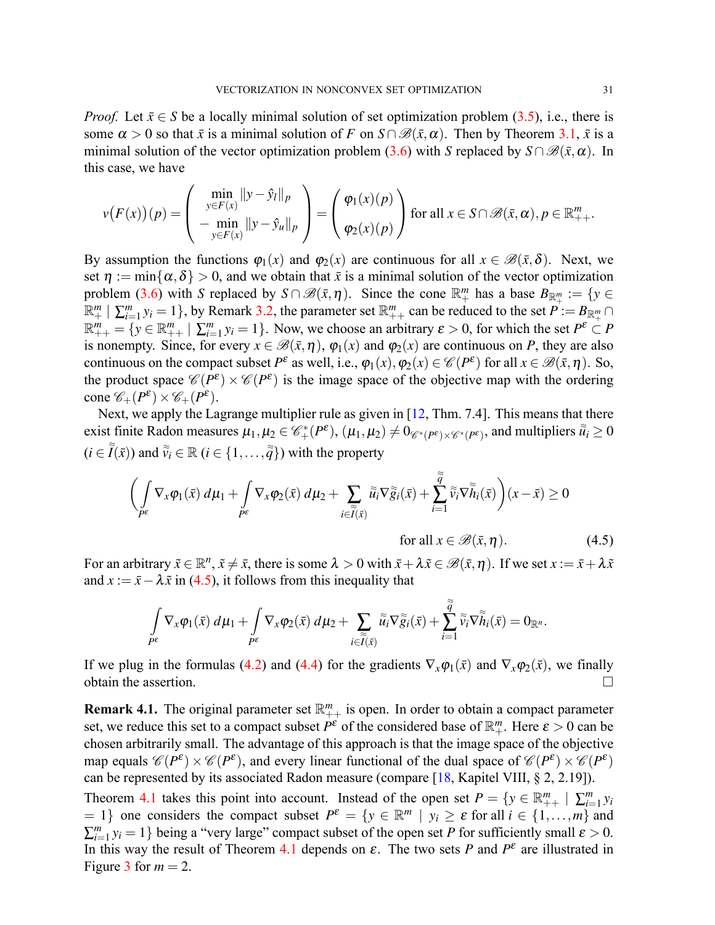*Proof.* Let  $\bar{x} \in S$  be a locally minimal solution of set optimization problem [\(3.5\)](#page-6-0), i.e., there is some  $\alpha > 0$  so that  $\bar{x}$  is a minimal solution of *F* on  $S \cap \mathcal{B}(\bar{x}, \alpha)$ . Then by Theorem [3.1,](#page-6-3)  $\bar{x}$  is a minimalsolution of the vector optimization problem ([3.6\)](#page-6-2) with *S* replaced by  $S \cap \mathcal{B}(\bar{x}, \alpha)$ . In this case, we have

$$
v(F(x))(p) = \begin{pmatrix} \min_{y \in F(x)} \|y - \hat{y}_l\|_p \\ -\min_{y \in F(x)} \|y - \hat{y}_u\|_p \\ \end{pmatrix} = \begin{pmatrix} \varphi_1(x)(p) \\ \varphi_2(x)(p) \end{pmatrix}
$$
 for all  $x \in S \cap \mathcal{B}(\bar{x}, \alpha), p \in \mathbb{R}_{++}^m$ .

By assumption the functions  $\varphi_1(x)$  and  $\varphi_2(x)$  are continuous for all  $x \in \mathcal{B}(\bar{x}, \delta)$ . Next, we set  $\eta := \min\{\alpha, \delta\} > 0$ , and we obtain that  $\bar{x}$  is a minimal solution of the vector optimization problem [\(3.6](#page-6-2)) with *S* replaced by  $S \cap \mathcal{B}(\bar{x}, \eta)$ . Since the cone  $\mathbb{R}^m_+$  has a base  $B_{\mathbb{R}^m_+} := \{y \in$  $\mathbb{R}^m_+ \mid \sum_{i=1}^m y_i = 1\},$  by Remark [3.2](#page-8-2), the parameter set  $\mathbb{R}^m_{++}$  can be reduced to the set  $P := B_{\mathbb{R}^m_+} \cap$  $\mathbb{R}_{++}^m = \{ y \in \mathbb{R}_{++}^m \mid \sum_{i=1}^m y_i = 1 \}.$  Now, we choose an arbitrary  $\varepsilon > 0$ , for which the set  $P^{\varepsilon} \subset P$ is nonempty. Since, for every  $x \in \mathcal{B}(\bar{x}, \eta)$ ,  $\varphi_1(x)$  and  $\varphi_2(x)$  are continuous on *P*, they are also continuous on the compact subset  $P^{\varepsilon}$  as well, i.e.,  $\varphi_1(x), \varphi_2(x) \in \mathscr{C}(P^{\varepsilon})$  for all  $x \in \mathscr{B}(\bar{x}, \eta)$ . So, the product space  $\mathscr{C}(P^{\varepsilon}) \times \mathscr{C}(P^{\varepsilon})$  is the image space of the objective map with the ordering  $cone \mathscr{C}_+(P^{\varepsilon}) \times \mathscr{C}_+(P^{\varepsilon}).$ 

Next, we apply the Lagrange multiplier rule as given in [\[12](#page-17-5), Thm. 7.4]. This means that there exist finite Radon measures  $\mu_1, \mu_2 \in \mathscr{C}_+^*(P^\varepsilon)$ ,  $(\mu_1, \mu_2) \neq 0_{\mathscr{C}^*(P^\varepsilon) \times \mathscr{C}^*(P^\varepsilon)}$ , and multipliers  $\widetilde{\widetilde{u}}_i \geq 0$  $(i \in \tilde{I}(\bar{x}))$  and  $\tilde{v}_i \in \mathbb{R}$   $(i \in \{1, \ldots, \tilde{q}\})$  with the property

$$
\left(\int_{P^{\varepsilon}} \nabla_x \varphi_1(\bar{x}) \, d\mu_1 + \int_{P^{\varepsilon}} \nabla_x \varphi_2(\bar{x}) \, d\mu_2 + \sum_{i \in \widetilde{I}(\bar{x})} \widetilde{u}_i \nabla \widetilde{g}_i(\bar{x}) + \sum_{i=1}^{\widetilde{q}} \widetilde{v}_i \nabla \widetilde{h}_i(\bar{x})\right) (x - \bar{x}) \ge 0
$$
\nfor all  $x \in \mathcal{B}(\bar{x}, \eta)$ .

\n(4.5)

For an arbitrary  $\tilde{x} \in \mathbb{R}^n$ ,  $\tilde{x} \neq \bar{x}$ , there is some  $\lambda > 0$  with  $\bar{x} + \lambda \tilde{x} \in \mathscr{B}(\bar{x}, \eta)$ . If we set  $x := \bar{x} + \lambda \tilde{x}$ and  $x := \bar{x} - \lambda \tilde{x}$  in [\(4.5](#page-12-0)), it follows from this inequality that

<span id="page-12-0"></span>
$$
\int\limits_{P^{\varepsilon}}\nabla_x \varphi_1(\bar x)\,d\mu_1+\int\limits_{P^{\varepsilon}}\nabla_x \varphi_2(\bar x)\,d\mu_2+\sum_{i\in \widetilde I(\bar x)}\widetilde u_i\nabla \widetilde g_i(\bar x)+\sum_{i=1}^{\widetilde q}\widetilde v_i\nabla \widetilde h_i(\bar x)=0_{\mathbb R^n}.
$$

If we plug in the formulas [\(4.2](#page-10-0)) and [\(4.4](#page-10-3)) for the gradients  $\nabla_x \varphi_1(\bar{x})$  and  $\nabla_x \varphi_2(\bar{x})$ , we finally obtain the assertion.  $\Box$ 

<span id="page-12-1"></span>**Remark 4.1.** The original parameter set  $\mathbb{R}_{++}^m$  is open. In order to obtain a compact parameter set, we reduce this set to a compact subset  $P^{\varepsilon}$  of the considered base of  $\mathbb{R}^m_+$ . Here  $\varepsilon > 0$  can be chosen arbitrarily small. The advantage of this approach is that the image space of the objective map equals  $\mathscr{C}(P^{\varepsilon}) \times \mathscr{C}(P^{\varepsilon})$ , and every linear functional of the dual space of  $\mathscr{C}(P^{\varepsilon}) \times \mathscr{C}(P^{\varepsilon})$ can be represented by its associated Radon measure (compare [\[18](#page-17-11), Kapitel VIII, § 2, 2.19]). Theorem [4.1](#page-11-0) takes this point into account. Instead of the open set  $P = \{y \in \mathbb{R}^m_{++} \mid \sum_{i=1}^m y_i\}$  $= 1$ } one considers the compact subset  $P^{\varepsilon} = \{y \in \mathbb{R}^m \mid y_i \ge \varepsilon \text{ for all } i \in \{1, ..., m\} \text{ and }$ 

 $\sum_{i=1}^{m} y_i = 1$ } being a "very large" compact subset of the open set *P* for sufficiently small  $\varepsilon > 0$ . In this way the result of Theorem [4.1](#page-11-0) depends on  $\varepsilon$ . The two sets *P* and  $P^{\varepsilon}$  are illustrated in Figure [3](#page-13-0) for  $m = 2$ .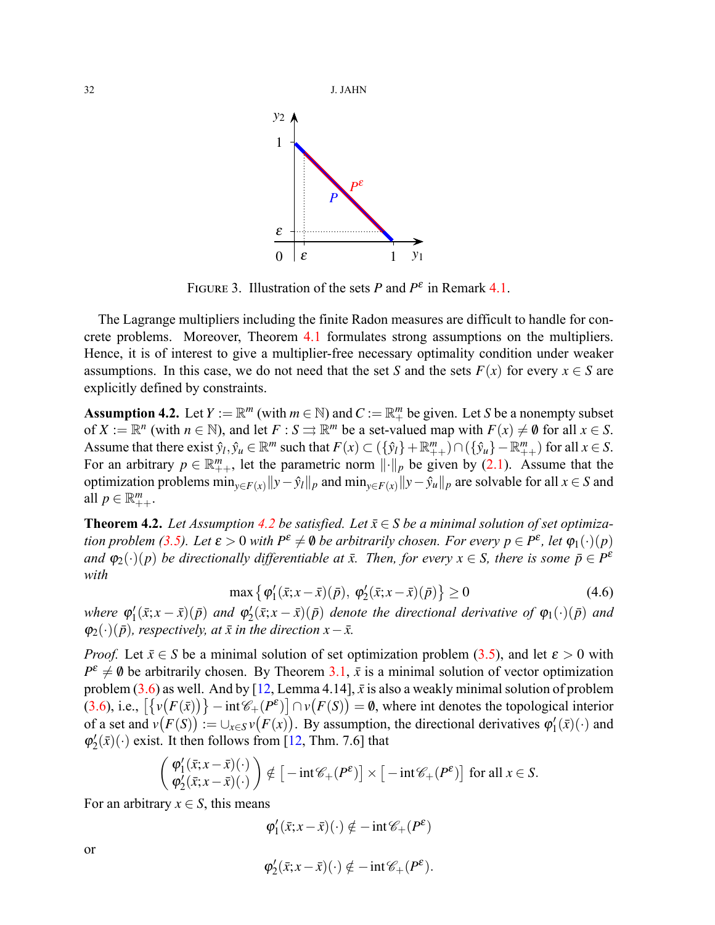

<span id="page-13-0"></span>FIGURE 3. Illustration of the sets *P* and  $P^{\varepsilon}$  in Remark [4.1](#page-12-1).

The Lagrange multipliers including the finite Radon measures are difficult to handle for concrete problems. Moreover, Theorem [4.1](#page-11-0) formulates strong assumptions on the multipliers. Hence, it is of interest to give a multiplier-free necessary optimality condition under weaker assumptions. In this case, we do not need that the set *S* and the sets  $F(x)$  for every  $x \in S$  are explicitly defined by constraints.

<span id="page-13-1"></span>**Assumption 4.2.** Let  $Y := \mathbb{R}^m$  (with  $m \in \mathbb{N}$ ) and  $C := \mathbb{R}^m_+$  be given. Let *S* be a nonempty subset of  $X := \mathbb{R}^n$  (with  $n \in \mathbb{N}$ ), and let  $F : S \rightrightarrows \mathbb{R}^m$  be a set-valued map with  $F(x) \neq \emptyset$  for all  $x \in S$ . Assume that there exist  $\hat{y}_l, \hat{y}_u \in \mathbb{R}^m$  such that  $F(x) \subset (\{\hat{y}_l\} + \mathbb{R}_{++}^m) \cap (\{\hat{y}_u\} - \mathbb{R}_{++}^m)$  for all  $x \in S$ . Foran arbitrary  $p \in \mathbb{R}_{++}^m$ , let the parametric norm  $||\cdot||_p$  be given by ([2.1\)](#page-1-2). Assume that the optimization problems  $\min_{y \in F(x)} ||y - \hat{y}_l||_p$  and  $\min_{y \in F(x)} ||y - \hat{y}_u||_p$  are solvable for all  $x \in S$  and all  $p \in \mathbb{R}^m_{++}$ .

<span id="page-13-2"></span>**Theorem [4.2](#page-13-1).** *Let Assumption 4.2 be satisfied. Let*  $\bar{x} \in S$  *be a minimal solution of set optimizationproblem* ([3.5\)](#page-6-0). Let  $\varepsilon > 0$  with  $P^{\varepsilon} \neq \emptyset$  be arbitrarily chosen. For every  $p \in P^{\varepsilon}$ , let  $\varphi_1(\cdot)(p)$ *and*  $\varphi_2(\cdot)(p)$  *be directionally differentiable at*  $\bar{x}$ *. Then, for every*  $x \in S$ *, there is some*  $\bar{p} \in P^{\varepsilon}$ *with*

<span id="page-13-3"></span>
$$
\max \left\{ \varphi_1'(\bar{x}; x - \bar{x})(\bar{p}), \varphi_2'(\bar{x}; x - \bar{x})(\bar{p}) \right\} \ge 0 \tag{4.6}
$$

where  $\varphi_1'(\bar{x};x-\bar{x})(\bar{p})$  and  $\varphi_2'(\bar{x};x-\bar{x})(\bar{p})$  denote the directional derivative of  $\varphi_1(\cdot)(\bar{p})$  and  $\varphi_2(\cdot)(\bar{p})$ *, respectively, at*  $\bar{x}$  *in the direction*  $x - \bar{x}$ *.* 

*Proof.*Let  $\bar{x} \in S$  be a minimal solution of set optimization problem ([3.5](#page-6-0)), and let  $\varepsilon > 0$  with  $P^{\varepsilon} \neq \emptyset$  be arbitrarily chosen. By Theorem [3.1,](#page-6-3)  $\bar{x}$  is a minimal solution of vector optimization problem [\(3.6](#page-6-2)) as well. And by [\[12](#page-17-5), Lemma 4.14],  $\bar{x}$  is also a weakly minimal solution of problem  $(3.6)$  $(3.6)$ , i.e.,  $\left[\left\{v(F(\bar{x}))\right\}-\inf\mathscr{C}_+(P^{\epsilon})\right]\cap v(F(S))=0$ , where int denotes the topological interior of a set and  $v(F(S)) := \bigcup_{x \in S} v(F(x))$ . By assumption, the directional derivatives  $\varphi'_1(\bar{x})(\cdot)$  and  $\varphi'_{2}(\bar{x})(\cdot)$ exist. It then follows from [[12,](#page-17-5) Thm. 7.6] that

$$
\begin{pmatrix} \varphi_1'(\bar{x}; x-\bar{x})(\cdot) \\ \varphi_2'(\bar{x}; x-\bar{x})(\cdot) \end{pmatrix} \notin \begin{bmatrix} -\mathrm{int}\mathscr{C}_+(P^\varepsilon) \end{bmatrix} \times \begin{bmatrix} -\mathrm{int}\mathscr{C}_+(P^\varepsilon) \end{bmatrix} \text{ for all } x \in S.
$$

For an arbitrary  $x \in S$ , this means

$$
\phi_1'(\bar x;x-\bar x)(\cdot)\notin -\operatorname{int}\mathscr{C}_+(P^\epsilon)
$$

$$
\varphi'_2(\bar x;x-\bar x)(\cdot)\notin -\operatorname{int}\mathscr{C}_+(P^\varepsilon).
$$

or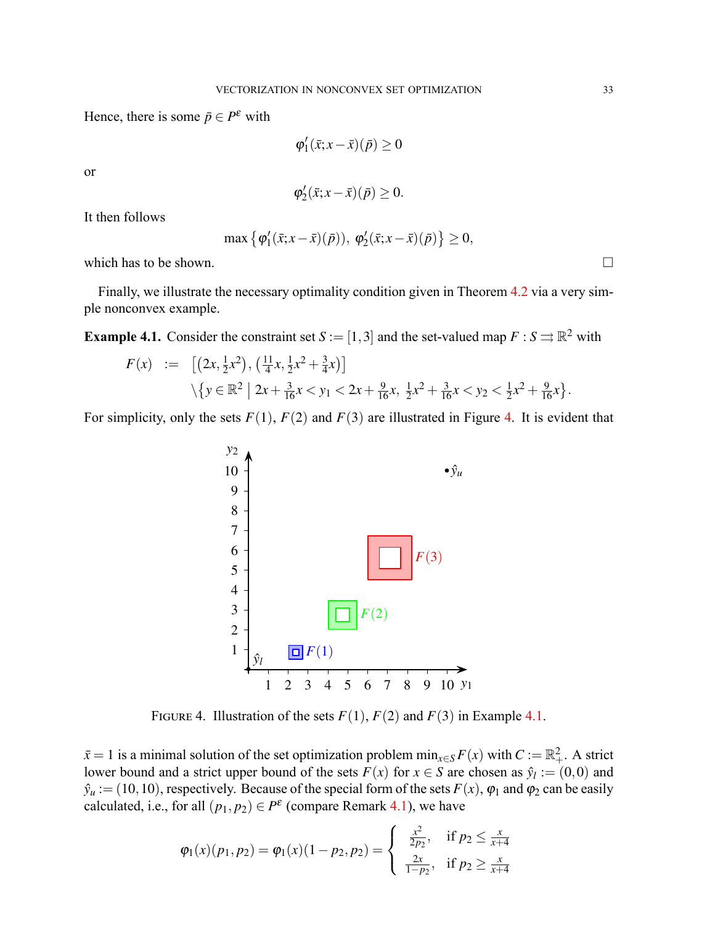Hence, there is some  $\bar{p} \in P^{\varepsilon}$  with

$$
\varphi_1'(\bar{x}; x-\bar{x})(\bar{p}) \ge 0
$$

or

$$
\varphi'_2(\bar x;x-\bar x)(\bar p)\geq 0.
$$

It then follows

$$
\max \left\{ \varphi_1'(\bar{x}; x-\bar{x})(\bar{p})), \varphi_2'(\bar{x}; x-\bar{x})(\bar{p}) \right\} \geq 0,
$$

which has to be shown.  $\Box$ 

Finally, we illustrate the necessary optimality condition given in Theorem [4.2](#page-13-2) via a very simple nonconvex example.

<span id="page-14-1"></span>**Example 4.1.** Consider the constraint set  $S := [1,3]$  and the set-valued map  $F : S \rightrightarrows \mathbb{R}^2$  with

$$
F(x) := [(2x, \frac{1}{2}x^2), (\frac{11}{4}x, \frac{1}{2}x^2 + \frac{3}{4}x)]
$$
  
 
$$
\sqrt{y \in \mathbb{R}^2 | 2x + \frac{3}{16}x < y_1 < 2x + \frac{9}{16}x, \frac{1}{2}x^2 + \frac{3}{16}x < y_2 < \frac{1}{2}x^2 + \frac{9}{16}x}.
$$

For simplicity, only the sets  $F(1)$ ,  $F(2)$  and  $F(3)$  are illustrated in Figure [4](#page-14-0). It is evident that



<span id="page-14-0"></span>FIGURE 4. Illustration of the sets  $F(1)$ ,  $F(2)$  and  $F(3)$  in Example [4.1](#page-14-1).

 $\bar{x}$  = 1 is a minimal solution of the set optimization problem  $\min_{x \in S} F(x)$  with  $C := \mathbb{R}^2_+$ . A strict lower bound and a strict upper bound of the sets  $F(x)$  for  $x \in S$  are chosen as  $\hat{y}_l := (0,0)$  and  $\hat{y}_u := (10, 10)$ , respectively. Because of the special form of the sets  $F(x)$ ,  $\varphi_1$  and  $\varphi_2$  can be easily calculated, i.e., for all  $(p_1, p_2) \in P^{\varepsilon}$  (compare Remark [4.1](#page-12-1)), we have

$$
\varphi_1(x)(p_1, p_2) = \varphi_1(x)(1 - p_2, p_2) = \begin{cases} \frac{x^2}{2p_2}, & \text{if } p_2 \leq \frac{x}{x+4} \\ \frac{2x}{1-p_2}, & \text{if } p_2 \geq \frac{x}{x+4} \end{cases}
$$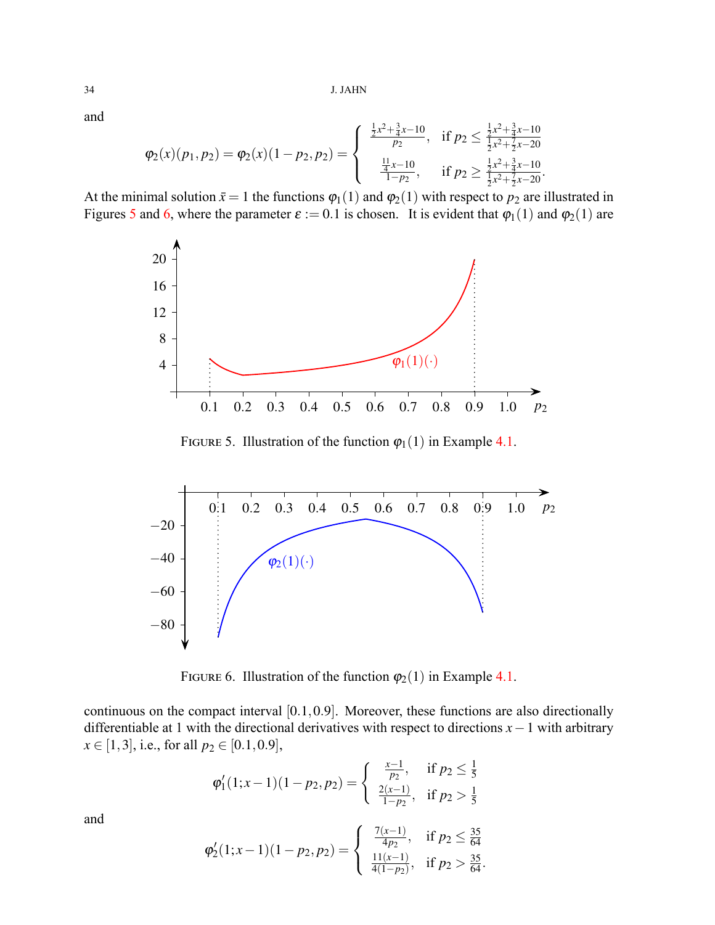and

$$
\varphi_2(x)(p_1, p_2) = \varphi_2(x)(1-p_2, p_2) = \begin{cases} \frac{\frac{1}{2}x^2 + \frac{3}{4}x - 10}{p_2}, & \text{if } p_2 \leq \frac{\frac{1}{2}x^2 + \frac{3}{4}x - 10}{\frac{1}{2}x^2 + \frac{7}{2}x - 20} \\ \frac{\frac{11}{4}x - 10}{1 - p_2}, & \text{if } p_2 \geq \frac{\frac{1}{2}x^2 + \frac{3}{4}x - 10}{\frac{1}{2}x^2 + \frac{7}{2}x - 20}. \end{cases}
$$

At the minimal solution  $\bar{x} = 1$  the functions  $\varphi_1(1)$  and  $\varphi_2(1)$  with respect to  $p_2$  are illustrated in Figures [5](#page-15-0) and [6,](#page-15-1) where the parameter  $\varepsilon := 0.1$  is chosen. It is evident that  $\varphi_1(1)$  and  $\varphi_2(1)$  are



<span id="page-15-0"></span>FIGURE 5. Illustration of the function  $\varphi_1(1)$  in Example [4.1.](#page-14-1)



<span id="page-15-1"></span>FIGURE 6. Illustration of the function  $\varphi_2(1)$  in Example [4.1.](#page-14-1)

continuous on the compact interval [0*.*1*,*0*.*9]. Moreover, these functions are also directionally differentiable at 1 with the directional derivatives with respect to directions *x−*1 with arbitrary  $x \in [1,3]$ , i.e., for all  $p_2 \in [0.1,0.9]$ ,

$$
\varphi_1'(1; x-1)(1-p_2, p_2) = \begin{cases} \frac{x-1}{p_2}, & \text{if } p_2 \leq \frac{1}{5} \\ \frac{2(x-1)}{1-p_2}, & \text{if } p_2 > \frac{1}{5} \end{cases}
$$

and

$$
\varphi_2'(1;x-1)(1-p_2,p_2) = \begin{cases} \frac{7(x-1)}{4p_2}, & \text{if } p_2 \leq \frac{35}{64} \\ \frac{11(x-1)}{4(1-p_2)}, & \text{if } p_2 > \frac{35}{64}. \end{cases}
$$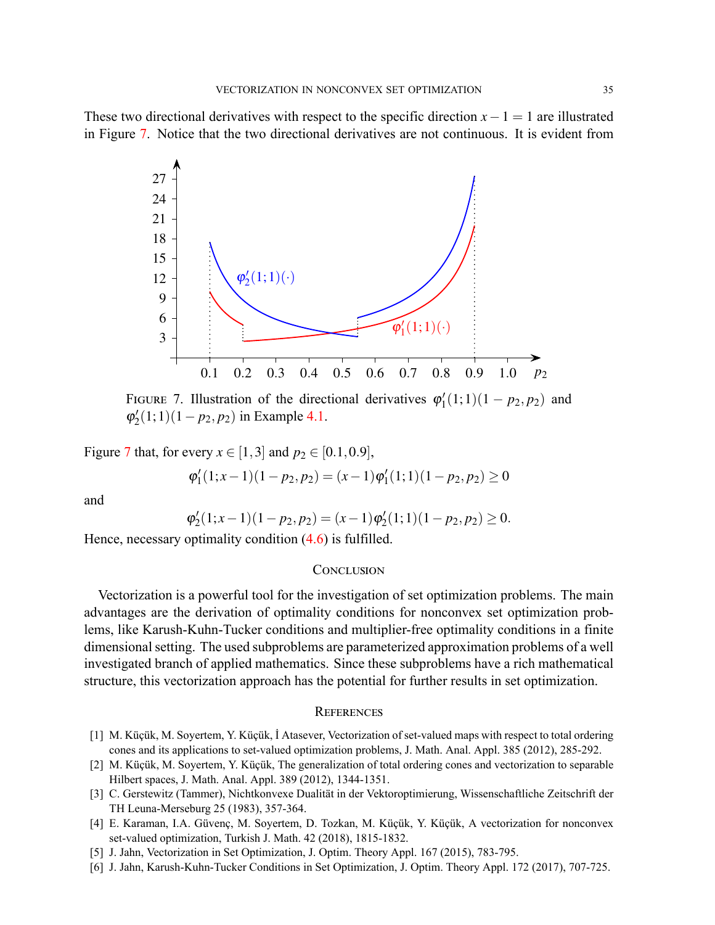These two directional derivatives with respect to the specific direction  $x - 1 = 1$  are illustrated in Figure [7.](#page-16-6) Notice that the two directional derivatives are not continuous. It is evident from



<span id="page-16-6"></span>FIGURE 7. Illustration of the directional derivatives  $\varphi'_1(1;1)(1 - p_2, p_2)$  and  $\varphi'_2(1; 1)(1 - p_2, p_2)$  in Example [4.1.](#page-14-1)

Figure [7](#page-16-6) that, for every  $x \in [1,3]$  and  $p_2 \in [0.1, 0.9]$ ,

$$
\varphi_1'(1;x-1)(1-p_2,p_2)=(x-1)\varphi_1'(1;1)(1-p_2,p_2)\geq 0
$$

and

$$
\varphi_2'(1;x-1)(1-p_2,p_2)=(x-1)\varphi_2'(1;1)(1-p_2,p_2)\geq 0.
$$

Hence, necessary optimality condition  $(4.6)$  is fulfilled.

#### CONCLUSION

Vectorization is a powerful tool for the investigation of set optimization problems. The main advantages are the derivation of optimality conditions for nonconvex set optimization problems, like Karush-Kuhn-Tucker conditions and multiplier-free optimality conditions in a finite dimensional setting. The used subproblems are parameterized approximation problems of a well investigated branch of applied mathematics. Since these subproblems have a rich mathematical structure, this vectorization approach has the potential for further results in set optimization.

### **REFERENCES**

- <span id="page-16-0"></span>[1] M. Küçük, M. Soyertem, Y. Küçük, İ Atasever, Vectorization of set-valued maps with respect to total ordering cones and its applications to set-valued optimization problems, J. Math. Anal. Appl. 385 (2012), 285-292.
- <span id="page-16-1"></span>[2] M. Küçük, M. Soyertem, Y. Küçük, The generalization of total ordering cones and vectorization to separable Hilbert spaces, J. Math. Anal. Appl. 389 (2012), 1344-1351.
- <span id="page-16-2"></span>[3] C. Gerstewitz (Tammer), Nichtkonvexe Dualität in der Vektoroptimierung, Wissenschaftliche Zeitschrift der TH Leuna-Merseburg 25 (1983), 357-364.
- <span id="page-16-3"></span>[4] E. Karaman, I.A. Güvenç, M. Soyertem, D. Tozkan, M. Küçük, Y. Küçük, A vectorization for nonconvex set-valued optimization, Turkish J. Math. 42 (2018), 1815-1832.
- <span id="page-16-4"></span>[5] J. Jahn, Vectorization in Set Optimization, J. Optim. Theory Appl. 167 (2015), 783-795.
- <span id="page-16-5"></span>[6] J. Jahn, Karush-Kuhn-Tucker Conditions in Set Optimization, J. Optim. Theory Appl. 172 (2017), 707-725.